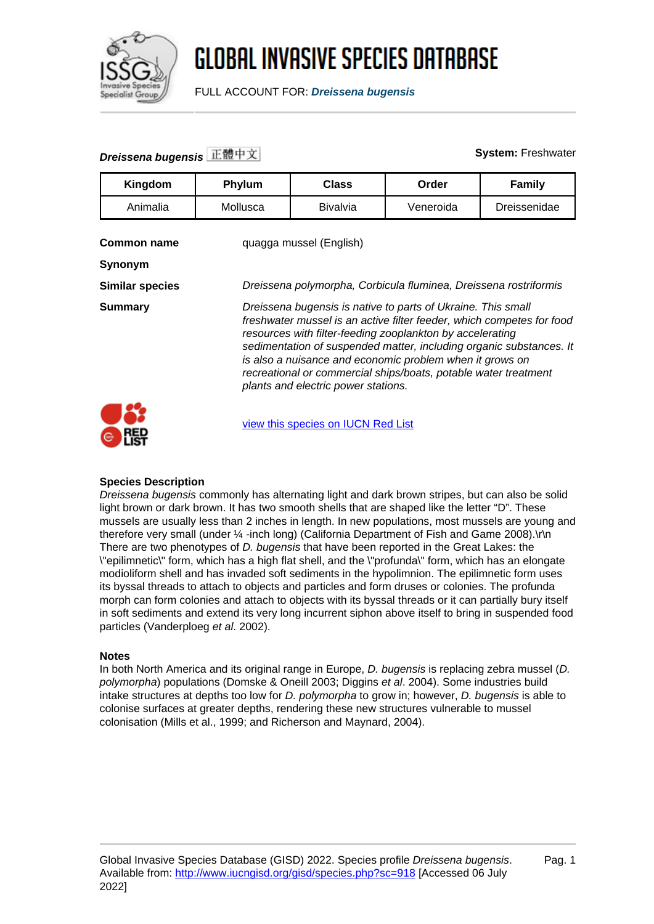

FULL ACCOUNT FOR: **Dreissena bugensis**

### **Dreissena bugensis** 正體中文 **System:** Freshwater

| Kingdom                       | Phylum                                                                                                                                                                                                                                                                                                                                                                                                                                          | <b>Class</b>    | Order     | Family       |
|-------------------------------|-------------------------------------------------------------------------------------------------------------------------------------------------------------------------------------------------------------------------------------------------------------------------------------------------------------------------------------------------------------------------------------------------------------------------------------------------|-----------------|-----------|--------------|
| Animalia                      | Mollusca                                                                                                                                                                                                                                                                                                                                                                                                                                        | <b>Bivalvia</b> | Veneroida | Dreissenidae |
| <b>Common name</b><br>Synonym | quagga mussel (English)                                                                                                                                                                                                                                                                                                                                                                                                                         |                 |           |              |
| <b>Similar species</b>        | Dreissena polymorpha, Corbicula fluminea, Dreissena rostriformis                                                                                                                                                                                                                                                                                                                                                                                |                 |           |              |
| <b>Summary</b>                | Dreissena bugensis is native to parts of Ukraine. This small<br>freshwater mussel is an active filter feeder, which competes for food<br>resources with filter-feeding zooplankton by accelerating<br>sedimentation of suspended matter, including organic substances. It<br>is also a nuisance and economic problem when it grows on<br>recreational or commercial ships/boats, potable water treatment<br>plants and electric power stations. |                 |           |              |
|                               | view this species on IUCN Red List                                                                                                                                                                                                                                                                                                                                                                                                              |                 |           |              |

#### **Species Description**

 $\bullet$  list

Dreissena bugensis commonly has alternating light and dark brown stripes, but can also be solid light brown or dark brown. It has two smooth shells that are shaped like the letter "D". These mussels are usually less than 2 inches in length. In new populations, most mussels are young and therefore very small (under 1/4 -inch long) (California Department of Fish and Game 2008).\r\n There are two phenotypes of *D. bugensis* that have been reported in the Great Lakes: the \"epilimnetic\" form, which has a high flat shell, and the \"profunda\" form, which has an elongate modioliform shell and has invaded soft sediments in the hypolimnion. The epilimnetic form uses its byssal threads to attach to objects and particles and form druses or colonies. The profunda morph can form colonies and attach to objects with its byssal threads or it can partially bury itself in soft sediments and extend its very long incurrent siphon above itself to bring in suspended food particles (Vanderploeg et al. 2002).

#### **Notes**

In both North America and its original range in Europe, D. bugensis is replacing zebra mussel (D. polymorpha) populations (Domske & Oneill 2003; Diggins et al. 2004). Some industries build intake structures at depths too low for D. polymorpha to grow in; however, D. bugensis is able to colonise surfaces at greater depths, rendering these new structures vulnerable to mussel colonisation (Mills et al., 1999; and Richerson and Maynard, 2004).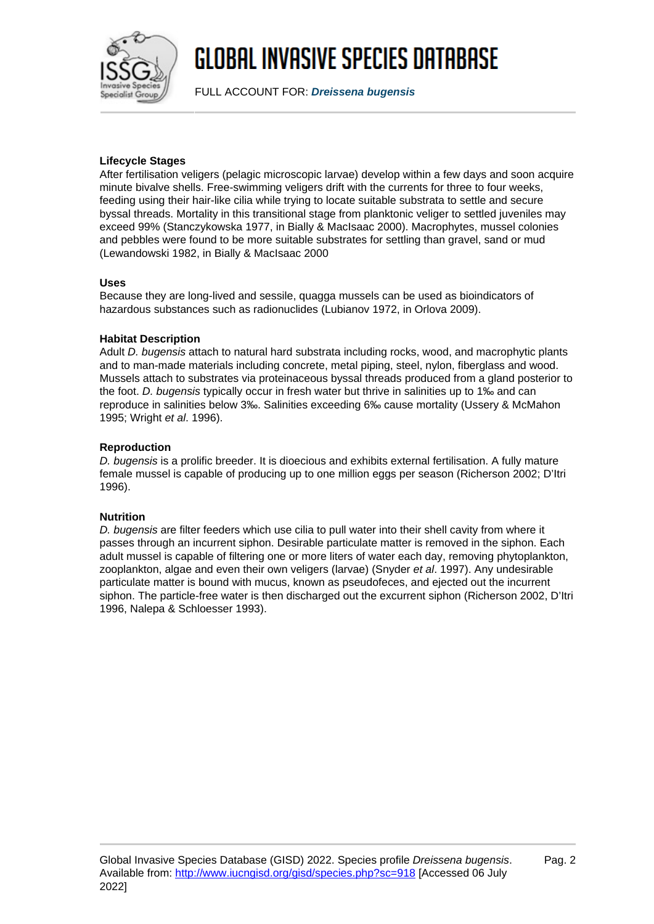

FULL ACCOUNT FOR: **Dreissena bugensis**

### **Lifecycle Stages**

After fertilisation veligers (pelagic microscopic larvae) develop within a few days and soon acquire minute bivalve shells. Free-swimming veligers drift with the currents for three to four weeks, feeding using their hair-like cilia while trying to locate suitable substrata to settle and secure byssal threads. Mortality in this transitional stage from planktonic veliger to settled juveniles may exceed 99% (Stanczykowska 1977, in Bially & MacIsaac 2000). Macrophytes, mussel colonies and pebbles were found to be more suitable substrates for settling than gravel, sand or mud (Lewandowski 1982, in Bially & MacIsaac 2000

### **Uses**

Because they are long-lived and sessile, quagga mussels can be used as bioindicators of hazardous substances such as radionuclides (Lubianov 1972, in Orlova 2009).

### **Habitat Description**

Adult D. bugensis attach to natural hard substrata including rocks, wood, and macrophytic plants and to man-made materials including concrete, metal piping, steel, nylon, fiberglass and wood. Mussels attach to substrates via proteinaceous byssal threads produced from a gland posterior to the foot. D. bugensis typically occur in fresh water but thrive in salinities up to 1‰ and can reproduce in salinities below 3‰. Salinities exceeding 6‰ cause mortality (Ussery & McMahon 1995; Wright et al. 1996).

### **Reproduction**

D. bugensis is a prolific breeder. It is dioecious and exhibits external fertilisation. A fully mature female mussel is capable of producing up to one million eggs per season (Richerson 2002; D'Itri 1996).

#### **Nutrition**

D. bugensis are filter feeders which use cilia to pull water into their shell cavity from where it passes through an incurrent siphon. Desirable particulate matter is removed in the siphon. Each adult mussel is capable of filtering one or more liters of water each day, removing phytoplankton, zooplankton, algae and even their own veligers (larvae) (Snyder et al. 1997). Any undesirable particulate matter is bound with mucus, known as pseudofeces, and ejected out the incurrent siphon. The particle-free water is then discharged out the excurrent siphon (Richerson 2002, D'Itri 1996, Nalepa & Schloesser 1993).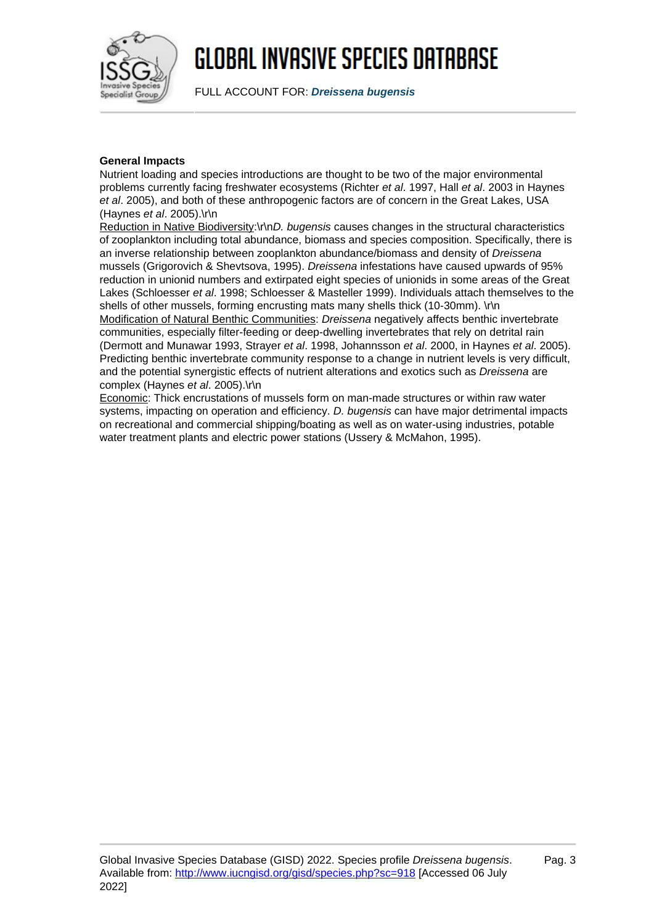

FULL ACCOUNT FOR: **Dreissena bugensis**

#### **General Impacts**

Nutrient loading and species introductions are thought to be two of the major environmental problems currently facing freshwater ecosystems (Richter et al. 1997, Hall et al. 2003 in Haynes et al. 2005), and both of these anthropogenic factors are of concern in the Great Lakes, USA (Haynes et al. 2005).\r\n

Reduction in Native Biodiversity:\r\nD, bugensis causes changes in the structural characteristics of zooplankton including total abundance, biomass and species composition. Specifically, there is an inverse relationship between zooplankton abundance/biomass and density of Dreissena mussels (Grigorovich & Shevtsova, 1995). Dreissena infestations have caused upwards of 95% reduction in unionid numbers and extirpated eight species of unionids in some areas of the Great Lakes (Schloesser et al. 1998; Schloesser & Masteller 1999). Individuals attach themselves to the shells of other mussels, forming encrusting mats many shells thick (10-30mm). \r\n

Modification of Natural Benthic Communities: Dreissena negatively affects benthic invertebrate communities, especially filter-feeding or deep-dwelling invertebrates that rely on detrital rain (Dermott and Munawar 1993, Strayer et al. 1998, Johannsson et al. 2000, in Haynes et al. 2005). Predicting benthic invertebrate community response to a change in nutrient levels is very difficult, and the potential synergistic effects of nutrient alterations and exotics such as Dreissena are complex (Haynes et al. 2005).\r\n

Economic: Thick encrustations of mussels form on man-made structures or within raw water systems, impacting on operation and efficiency. D. bugensis can have major detrimental impacts on recreational and commercial shipping/boating as well as on water-using industries, potable water treatment plants and electric power stations (Ussery & McMahon, 1995).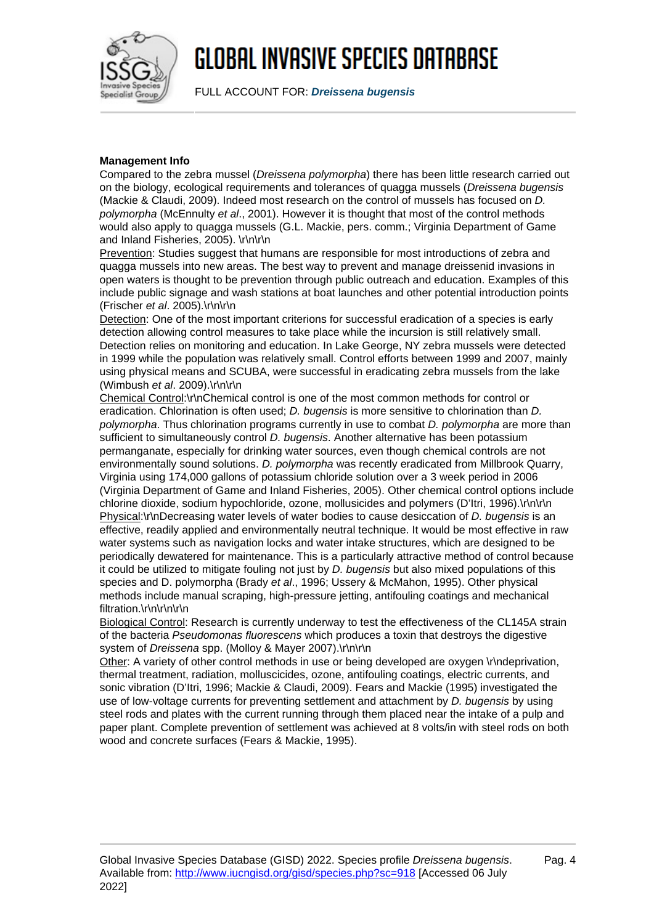

FULL ACCOUNT FOR: **Dreissena bugensis**

#### **Management Info**

Compared to the zebra mussel (Dreissena polymorpha) there has been little research carried out on the biology, ecological requirements and tolerances of quagga mussels (Dreissena bugensis (Mackie & Claudi, 2009). Indeed most research on the control of mussels has focused on D. polymorpha (McEnnulty et al., 2001). However it is thought that most of the control methods would also apply to quagga mussels (G.L. Mackie, pers. comm.; Virginia Department of Game and Inland Fisheries, 2005). \r\n\r\n

Prevention: Studies suggest that humans are responsible for most introductions of zebra and quagga mussels into new areas. The best way to prevent and manage dreissenid invasions in open waters is thought to be prevention through public outreach and education. Examples of this include public signage and wash stations at boat launches and other potential introduction points (Frischer et al. 2005).\r\n\r\n

Detection: One of the most important criterions for successful eradication of a species is early detection allowing control measures to take place while the incursion is still relatively small. Detection relies on monitoring and education. In Lake George, NY zebra mussels were detected in 1999 while the population was relatively small. Control efforts between 1999 and 2007, mainly using physical means and SCUBA, were successful in eradicating zebra mussels from the lake (Wimbush et al. 2009).\r\n\r\n

Chemical Control:\r\nChemical control is one of the most common methods for control or eradication. Chlorination is often used; D. bugensis is more sensitive to chlorination than D. polymorpha. Thus chlorination programs currently in use to combat D. polymorpha are more than sufficient to simultaneously control D. bugensis. Another alternative has been potassium permanganate, especially for drinking water sources, even though chemical controls are not environmentally sound solutions. D. polymorpha was recently eradicated from Millbrook Quarry, Virginia using 174,000 gallons of potassium chloride solution over a 3 week period in 2006 (Virginia Department of Game and Inland Fisheries, 2005). Other chemical control options include chlorine dioxide, sodium hypochloride, ozone, mollusicides and polymers (D'Itri, 1996).\r\n\r\n Physical:\r\nDecreasing water levels of water bodies to cause desiccation of D. bugensis is an effective, readily applied and environmentally neutral technique. It would be most effective in raw water systems such as navigation locks and water intake structures, which are designed to be periodically dewatered for maintenance. This is a particularly attractive method of control because it could be utilized to mitigate fouling not just by  $D$ . bugensis but also mixed populations of this species and D. polymorpha (Brady et al., 1996; Ussery & McMahon, 1995). Other physical methods include manual scraping, high-pressure jetting, antifouling coatings and mechanical filtration.\r\n\r\n\r\n

Biological Control: Research is currently underway to test the effectiveness of the CL145A strain of the bacteria Pseudomonas fluorescens which produces a toxin that destroys the digestive system of Dreissena spp. (Molloy & Mayer 2007).\r\n\r\n

Other: A variety of other control methods in use or being developed are oxygen \r\ndeprivation, thermal treatment, radiation, molluscicides, ozone, antifouling coatings, electric currents, and sonic vibration (D'Itri, 1996; Mackie & Claudi, 2009). Fears and Mackie (1995) investigated the use of low-voltage currents for preventing settlement and attachment by D. bugensis by using steel rods and plates with the current running through them placed near the intake of a pulp and paper plant. Complete prevention of settlement was achieved at 8 volts/in with steel rods on both wood and concrete surfaces (Fears & Mackie, 1995).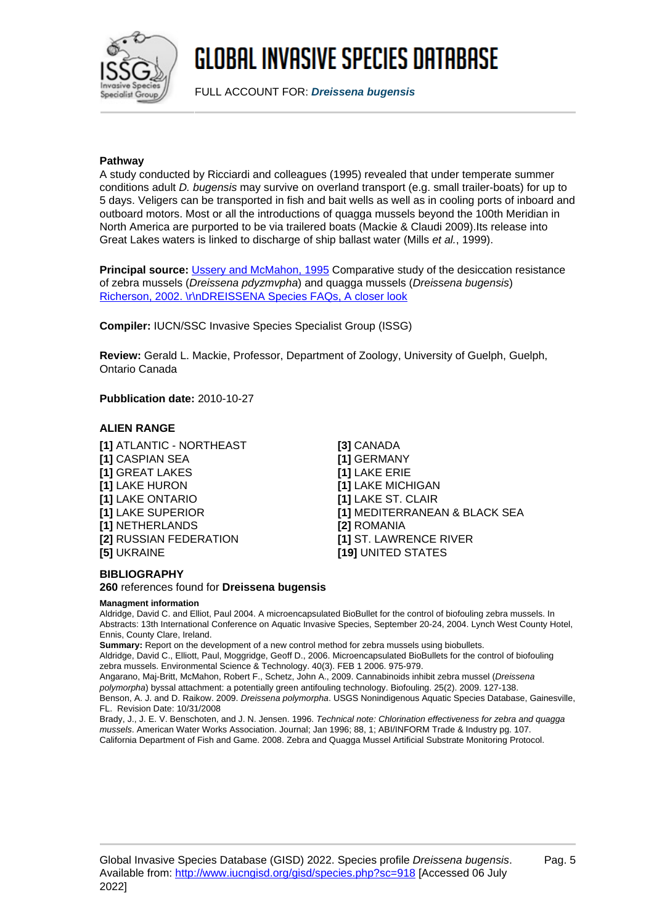

FULL ACCOUNT FOR: **Dreissena bugensis**

#### **Pathway**

A study conducted by Ricciardi and colleagues (1995) revealed that under temperate summer conditions adult D. bugensis may survive on overland transport (e.g. small trailer-boats) for up to 5 days. Veligers can be transported in fish and bait wells as well as in cooling ports of inboard and outboard motors. Most or all the introductions of quagga mussels beyond the 100th Meridian in North America are purported to be via trailered boats (Mackie & Claudi 2009).Its release into Great Lakes waters is linked to discharge of ship ballast water (Mills et al., 1999).

Principal source: [Ussery and McMahon, 1995](http://sgnis.org/publicat/papers/uace6.pdf) Comparative study of the desiccation resistance of zebra mussels (Dreissena pdyzmvpha) and quagga mussels (Dreissena bugensis) [Richerson, 2002. \r\nDREISSENA Species FAQs, A closer look](http://cars.er.usgs.gov/Nonindigenous_Species/Zebra_mussel_FAQs/Dreissena_FAQs/dreissena_faqs.html)

**Compiler:** IUCN/SSC Invasive Species Specialist Group (ISSG)

**Review:** Gerald L. Mackie, Professor, Department of Zoology, University of Guelph, Guelph, Ontario Canada

**Pubblication date:** 2010-10-27

### **ALIEN RANGE**

**[1]** ATLANTIC - NORTHEAST **[3]** CANADA **[1]** CASPIAN SEA **[1]** GERMANY **[1]** GREAT LAKES **[1]** LAKE ERIE **[1]** LAKE HURON **[1]** LAKE MICHIGAN **[1]** LAKE ONTARIO **[1]** LAKE ST. CLAIR **[1]** NETHERLANDS **[2]** ROMANIA **[2]** RUSSIAN FEDERATION **[1]** ST. LAWRENCE RIVER **[5]** UKRAINE **[19]** UNITED STATES

**[1]** LAKE SUPERIOR **[1]** MEDITERRANEAN & BLACK SEA

#### **BIBLIOGRAPHY**

**260** references found for **Dreissena bugensis**

#### **Managment information**

Aldridge, David C. and Elliot, Paul 2004. A microencapsulated BioBullet for the control of biofouling zebra mussels. In Abstracts: 13th International Conference on Aquatic Invasive Species, September 20-24, 2004. Lynch West County Hotel, Ennis, County Clare, Ireland.

**Summary:** Report on the development of a new control method for zebra mussels using biobullets.

Aldridge, David C., Elliott, Paul, Moggridge, Geoff D., 2006. Microencapsulated BioBullets for the control of biofouling zebra mussels. Environmental Science & Technology. 40(3). FEB 1 2006. 975-979.

Angarano, Maj-Britt, McMahon, Robert F., Schetz, John A., 2009. Cannabinoids inhibit zebra mussel (Dreissena polymorpha) byssal attachment: a potentially green antifouling technology. Biofouling. 25(2). 2009. 127-138. Benson, A. J. and D. Raikow. 2009. Dreissena polymorpha. USGS Nonindigenous Aquatic Species Database, Gainesville, FL. Revision Date: 10/31/2008

Brady, J., J. E. V. Benschoten, and J. N. Jensen. 1996. Technical note: Chlorination effectiveness for zebra and quagga mussels. American Water Works Association. Journal; Jan 1996; 88, 1; ABI/INFORM Trade & Industry pg. 107. California Department of Fish and Game. 2008. Zebra and Quagga Mussel Artificial Substrate Monitoring Protocol.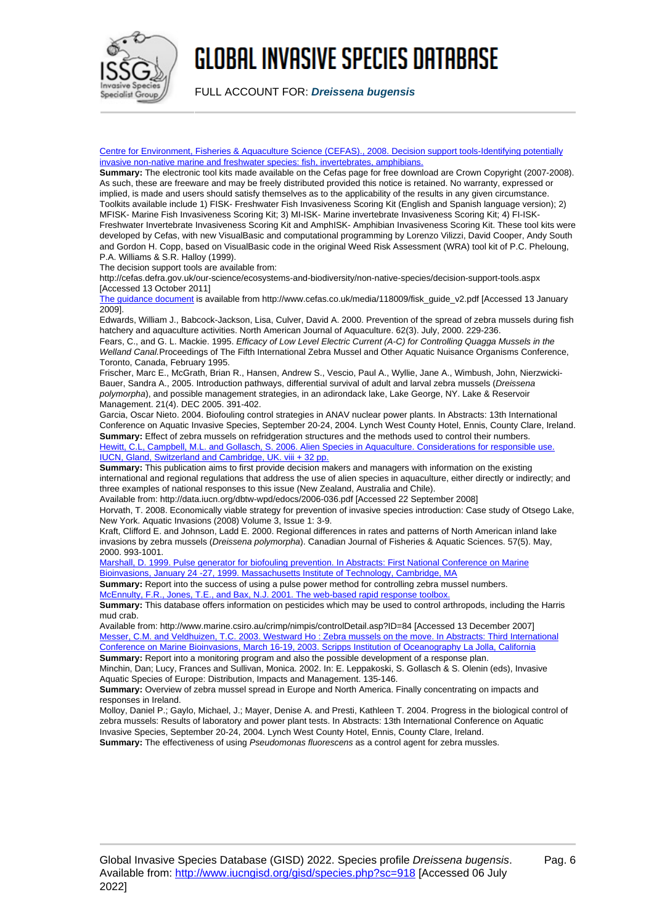

FULL ACCOUNT FOR: **Dreissena bugensis**

[Centre for Environment, Fisheries & Aquaculture Science \(CEFAS\)., 2008. Decision support tools-Identifying potentially](http://cefas.defra.gov.uk/our-science/ecosystems-and-biodiversity/non-native-species/decision-support-tools.aspx) [invasive non-native marine and freshwater species: fish, invertebrates, amphibians.](http://cefas.defra.gov.uk/our-science/ecosystems-and-biodiversity/non-native-species/decision-support-tools.aspx)

**Summary:** The electronic tool kits made available on the Cefas page for free download are Crown Copyright (2007-2008). As such, these are freeware and may be freely distributed provided this notice is retained. No warranty, expressed or implied, is made and users should satisfy themselves as to the applicability of the results in any given circumstance. Toolkits available include 1) FISK- Freshwater Fish Invasiveness Scoring Kit (English and Spanish language version); 2) MFISK- Marine Fish Invasiveness Scoring Kit; 3) MI-ISK- Marine invertebrate Invasiveness Scoring Kit; 4) FI-ISK-Freshwater Invertebrate Invasiveness Scoring Kit and AmphISK- Amphibian Invasiveness Scoring Kit. These tool kits were developed by Cefas, with new VisualBasic and computational programming by Lorenzo Vilizzi, David Cooper, Andy South and Gordon H. Copp, based on VisualBasic code in the original Weed Risk Assessment (WRA) tool kit of P.C. Pheloung, P.A. Williams & S.R. Halloy (1999).

The decision support tools are available from:

http://cefas.defra.gov.uk/our-science/ecosystems-and-biodiversity/non-native-species/decision-support-tools.aspx [Accessed 13 October 2011]

[The guidance document](http://www.cefas.co.uk/media/118009/fisk_guide_v2.pdf) is available from http://www.cefas.co.uk/media/118009/fisk\_guide\_v2.pdf [Accessed 13 January 2009].

Edwards, William J., Babcock-Jackson, Lisa, Culver, David A. 2000. Prevention of the spread of zebra mussels during fish hatchery and aquaculture activities. North American Journal of Aquaculture. 62(3). July, 2000. 229-236.

Fears, C., and G. L. Mackie. 1995. Efficacy of Low Level Electric Current (A-C) for Controlling Quagga Mussels in the Welland Canal.Proceedings of The Fifth International Zebra Mussel and Other Aquatic Nuisance Organisms Conference, Toronto, Canada, February 1995.

Frischer, Marc E., McGrath, Brian R., Hansen, Andrew S., Vescio, Paul A., Wyllie, Jane A., Wimbush, John, Nierzwicki-Bauer, Sandra A., 2005. Introduction pathways, differential survival of adult and larval zebra mussels (Dreissena polymorpha), and possible management strategies, in an adirondack lake, Lake George, NY. Lake & Reservoir Management. 21(4). DEC 2005. 391-402.

Garcia, Oscar Nieto. 2004. Biofouling control strategies in ANAV nuclear power plants. In Abstracts: 13th International Conference on Aquatic Invasive Species, September 20-24, 2004. Lynch West County Hotel, Ennis, County Clare, Ireland. **Summary:** Effect of zebra mussels on refridgeration structures and the methods used to control their numbers. [Hewitt, C.L, Campbell, M.L. and Gollasch, S. 2006. Alien Species in Aquaculture. Considerations for responsible use.](http://data.iucn.org/dbtw-wpd/edocs/2006-036.pdf) [IUCN, Gland, Switzerland and Cambridge, UK. viii + 32 pp.](http://data.iucn.org/dbtw-wpd/edocs/2006-036.pdf)

**Summary:** This publication aims to first provide decision makers and managers with information on the existing international and regional regulations that address the use of alien species in aquaculture, either directly or indirectly; and three examples of national responses to this issue (New Zealand, Australia and Chile).

Available from: http://data.iucn.org/dbtw-wpd/edocs/2006-036.pdf [Accessed 22 September 2008]

Horvath, T. 2008. Economically viable strategy for prevention of invasive species introduction: Case study of Otsego Lake, New York. Aquatic Invasions (2008) Volume 3, Issue 1: 3-9.

Kraft, Clifford E. and Johnson, Ladd E. 2000. Regional differences in rates and patterns of North American inland lake invasions by zebra mussels (Dreissena polymorpha). Canadian Journal of Fisheries & Aquatic Sciences. 57(5). May, 2000. 993-1001.

[Marshall, D. 1999. Pulse generator for biofouling prevention. In Abstracts: First National Conference on Marine](http://massbay.mit.edu/resources/pdf/MarinePDF/1999/MarineAbs7.pdf) [Bioinvasions, January 24 -27, 1999. Massachusetts Institute of Technology, Cambridge, MA](http://massbay.mit.edu/resources/pdf/MarinePDF/1999/MarineAbs7.pdf) **Summary:** Report into the success of using a pulse power method for controlling zebra mussel numbers.

[McEnnulty, F.R., Jones, T.E., and Bax, N.J. 2001. The web-based rapid response toolbox.](http://www.marine.csiro.au/crimp/nimpis/controlDetail.asp?ID=84)

**Summary:** This database offers information on pesticides which may be used to control arthropods, including the Harris mud crab.

Available from: http://www.marine.csiro.au/crimp/nimpis/controlDetail.asp?ID=84 [Accessed 13 December 2007] [Messer, C.M. and Veldhuizen, T.C. 2003. Westward Ho : Zebra mussels on the move. In Abstracts: Third International](http://massbay.mit.edu/resources/pdf/MarinePDF/2003/MBI2003abs9.pdf) [Conference on Marine Bioinvasions, March 16-19, 2003. Scripps Institution of Oceanography La Jolla, California](http://massbay.mit.edu/resources/pdf/MarinePDF/2003/MBI2003abs9.pdf) **Summary:** Report into a monitoring program and also the possible development of a response plan.

Minchin, Dan; Lucy, Frances and Sullivan, Monica. 2002. In: E. Leppakoski, S. Gollasch & S. Olenin (eds), Invasive Aquatic Species of Europe: Distribution, Impacts and Management. 135-146.

**Summary:** Overview of zebra mussel spread in Europe and North America. Finally concentrating on impacts and responses in Ireland.

Molloy, Daniel P.; Gaylo, Michael, J.; Mayer, Denise A. and Presti, Kathleen T. 2004. Progress in the biological control of zebra mussels: Results of laboratory and power plant tests. In Abstracts: 13th International Conference on Aquatic Invasive Species, September 20-24, 2004. Lynch West County Hotel, Ennis, County Clare, Ireland.

**Summary:** The effectiveness of using Pseudomonas fluorescens as a control agent for zebra mussles.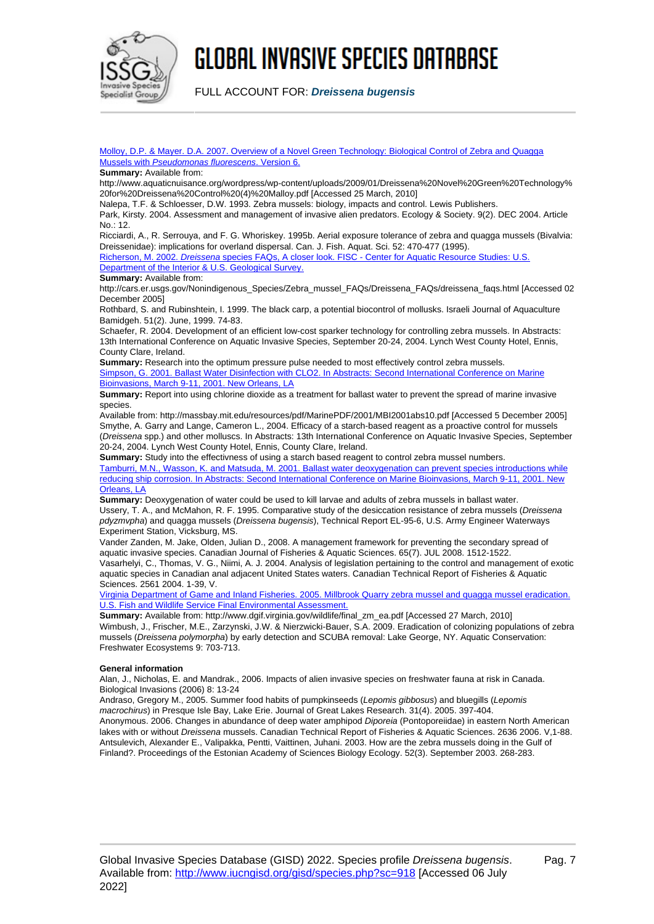

FULL ACCOUNT FOR: **Dreissena bugensis**

[Molloy, D.P. & Mayer. D.A. 2007. Overview of a Novel Green Technology: Biological Control of Zebra and Quagga](http://www.aquaticnuisance.org/wordpress/wp-content/uploads/2009/01/Dreissena%20Novel%20Green%20Technology%20for%20Dreissena%20Control%20(4)%20Malloy.pdf) [Mussels with](http://www.aquaticnuisance.org/wordpress/wp-content/uploads/2009/01/Dreissena%20Novel%20Green%20Technology%20for%20Dreissena%20Control%20(4)%20Malloy.pdf) [Pseudomonas fluorescens](http://www.aquaticnuisance.org/wordpress/wp-content/uploads/2009/01/Dreissena%20Novel%20Green%20Technology%20for%20Dreissena%20Control%20(4)%20Malloy.pdf)[. Version 6.](http://www.aquaticnuisance.org/wordpress/wp-content/uploads/2009/01/Dreissena%20Novel%20Green%20Technology%20for%20Dreissena%20Control%20(4)%20Malloy.pdf)

#### **Summary:** Available from:

http://www.aquaticnuisance.org/wordpress/wp-content/uploads/2009/01/Dreissena%20Novel%20Green%20Technology% 20for%20Dreissena%20Control%20(4)%20Malloy.pdf [Accessed 25 March, 2010]

Nalepa, T.F. & Schloesser, D.W. 1993. Zebra mussels: biology, impacts and control. Lewis Publishers.

Park, Kirsty. 2004. Assessment and management of invasive alien predators. Ecology & Society. 9(2). DEC 2004. Article No.: 12.

Ricciardi, A., R. Serrouya, and F. G. Whoriskey. 1995b. Aerial exposure tolerance of zebra and quagga mussels (Bivalvia: Dreissenidae): implications for overland dispersal. Can. J. Fish. Aquat. Sci. 52: 470-477 (1995). [Richerson, M. 2002.](http://cars.er.usgs.gov/Nonindigenous_Species/Zebra_mussel_FAQs/Dreissena_FAQs/dreissena_faqs.html) [Dreissena](http://cars.er.usgs.gov/Nonindigenous_Species/Zebra_mussel_FAQs/Dreissena_FAQs/dreissena_faqs.html) [species FAQs, A closer look. FISC - Center for Aquatic Resource Studies: U.S.](http://cars.er.usgs.gov/Nonindigenous_Species/Zebra_mussel_FAQs/Dreissena_FAQs/dreissena_faqs.html)

[Department of the Interior & U.S. Geological Survey.](http://cars.er.usgs.gov/Nonindigenous_Species/Zebra_mussel_FAQs/Dreissena_FAQs/dreissena_faqs.html)

#### **Summary:** Available from:

http://cars.er.usgs.gov/Nonindigenous\_Species/Zebra\_mussel\_FAQs/Dreissena\_FAQs/dreissena\_faqs.html [Accessed 02 December 2005]

Rothbard, S. and Rubinshtein, I. 1999. The black carp, a potential biocontrol of mollusks. Israeli Journal of Aquaculture Bamidgeh. 51(2). June, 1999. 74-83.

Schaefer, R. 2004. Development of an efficient low-cost sparker technology for controlling zebra mussels. In Abstracts: 13th International Conference on Aquatic Invasive Species, September 20-24, 2004. Lynch West County Hotel, Ennis, County Clare, Ireland.

**Summary:** Research into the optimum pressure pulse needed to most effectively control zebra mussels. [Simpson, G. 2001. Ballast Water Disinfection with CLO2. In Abstracts: Second International Conference on Marine](http://massbay.mit.edu/resources/pdf/MarinePDF/2001/MBI2001abs10.pdf) [Bioinvasions, March 9-11, 2001. New Orleans, LA](http://massbay.mit.edu/resources/pdf/MarinePDF/2001/MBI2001abs10.pdf)

**Summary:** Report into using chlorine dioxide as a treatment for ballast water to prevent the spread of marine invasive species.

Available from: http://massbay.mit.edu/resources/pdf/MarinePDF/2001/MBI2001abs10.pdf [Accessed 5 December 2005] Smythe, A. Garry and Lange, Cameron L., 2004. Efficacy of a starch-based reagent as a proactive control for mussels (Dreissena spp.) and other molluscs. In Abstracts: 13th International Conference on Aquatic Invasive Species, September 20-24, 2004. Lynch West County Hotel, Ennis, County Clare, Ireland.

**Summary:** Study into the effectivness of using a starch based reagent to control zebra mussel numbers. [Tamburri, M.N., Wasson, K. and Matsuda, M. 2001. Ballast water deoxygenation can prevent species introductions while](http://massbay.mit.edu/resources/pdf/MarinePDF/2001/MBI2001abs10.pdf) [reducing ship corrosion. In Abstracts: Second International Conference on Marine Bioinvasions, March 9-11, 2001. New](http://massbay.mit.edu/resources/pdf/MarinePDF/2001/MBI2001abs10.pdf) [Orleans, LA](http://massbay.mit.edu/resources/pdf/MarinePDF/2001/MBI2001abs10.pdf)

**Summary:** Deoxygenation of water could be used to kill larvae and adults of zebra mussels in ballast water. Ussery, T. A., and McMahon, R. F. 1995. Comparative study of the desiccation resistance of zebra mussels (Dreissena pdyzmvpha) and quagga mussels (Dreissena bugensis), Technical Report EL-95-6, U.S. Army Engineer Waterways Experiment Station, Vicksburg, MS.

Vander Zanden, M. Jake, Olden, Julian D., 2008. A management framework for preventing the secondary spread of aquatic invasive species. Canadian Journal of Fisheries & Aquatic Sciences. 65(7). JUL 2008. 1512-1522. Vasarhelyi, C., Thomas, V. G., Niimi, A. J. 2004. Analysis of legislation pertaining to the control and management of exotic aquatic species in Canadian anal adjacent United States waters. Canadian Technical Report of Fisheries & Aquatic Sciences. 2561 2004. 1-39, V.

[Virginia Department of Game and Inland Fisheries. 2005. Millbrook Quarry zebra mussel and quagga mussel eradication.](http://www.dgif.virginia.gov/wildlife/final_zm_ea.pdf) [U.S. Fish and Wildlife Service Final Environmental Assessment.](http://www.dgif.virginia.gov/wildlife/final_zm_ea.pdf)

**Summary:** Available from: http://www.dgif.virginia.gov/wildlife/final\_zm\_ea.pdf [Accessed 27 March, 2010] Wimbush, J., Frischer, M.E., Zarzynski, J.W. & Nierzwicki-Bauer, S.A. 2009. Eradication of colonizing populations of zebra mussels (Dreissena polymorpha) by early detection and SCUBA removal: Lake George, NY. Aquatic Conservation: Freshwater Ecosystems 9: 703-713.

#### **General information**

Alan, J., Nicholas, E. and Mandrak., 2006. Impacts of alien invasive species on freshwater fauna at risk in Canada. Biological Invasions (2006) 8: 13-24

Andraso, Gregory M., 2005. Summer food habits of pumpkinseeds (Lepomis gibbosus) and bluegills (Lepomis macrochirus) in Presque Isle Bay, Lake Erie. Journal of Great Lakes Research. 31(4). 2005. 397-404. Anonymous. 2006. Changes in abundance of deep water amphipod *Diporeia* (Pontoporeiidae) in eastern North American lakes with or without Dreissena mussels. Canadian Technical Report of Fisheries & Aquatic Sciences. 2636 2006. V,1-88. Antsulevich, Alexander E., Valipakka, Pentti, Vaittinen, Juhani. 2003. How are the zebra mussels doing in the Gulf of Finland?. Proceedings of the Estonian Academy of Sciences Biology Ecology. 52(3). September 2003. 268-283.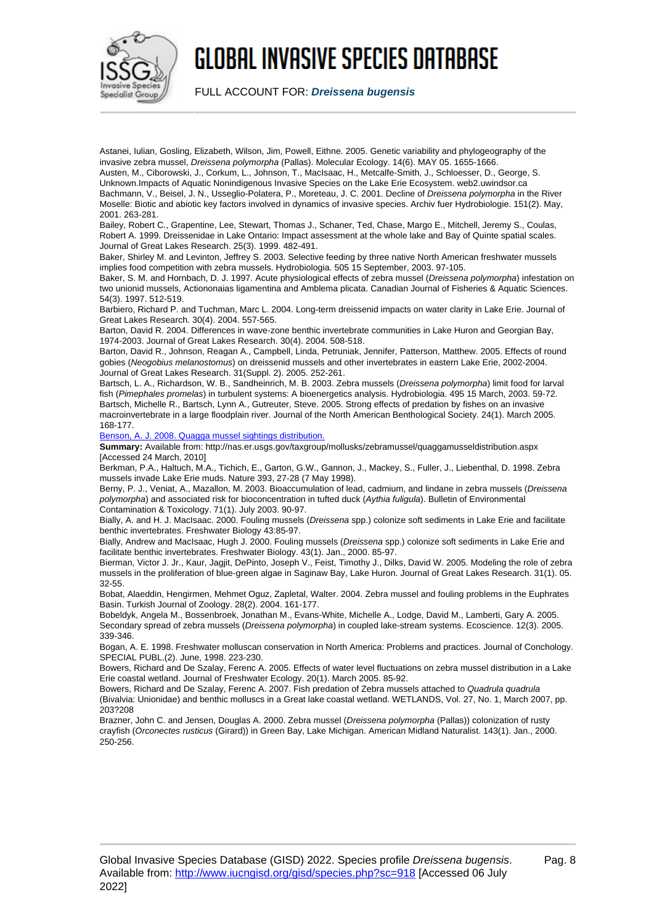

FULL ACCOUNT FOR: **Dreissena bugensis**

Astanei, Iulian, Gosling, Elizabeth, Wilson, Jim, Powell, Eithne. 2005. Genetic variability and phylogeography of the invasive zebra mussel, Dreissena polymorpha (Pallas). Molecular Ecology. 14(6). MAY 05. 1655-1666. Austen, M., Ciborowski, J., Corkum, L., Johnson, T., MacIsaac, H., Metcalfe-Smith, J., Schloesser, D., George, S.

Unknown.Impacts of Aquatic Nonindigenous Invasive Species on the Lake Erie Ecosystem. web2.uwindsor.ca Bachmann, V., Beisel, J. N., Usseglio-Polatera, P., Moreteau, J. C. 2001. Decline of Dreissena polymorpha in the River Moselle: Biotic and abiotic key factors involved in dynamics of invasive species. Archiv fuer Hydrobiologie. 151(2). May, 2001. 263-281.

Bailey, Robert C., Grapentine, Lee, Stewart, Thomas J., Schaner, Ted, Chase, Margo E., Mitchell, Jeremy S., Coulas, Robert A. 1999. Dreissenidae in Lake Ontario: Impact assessment at the whole lake and Bay of Quinte spatial scales. Journal of Great Lakes Research. 25(3). 1999. 482-491.

Baker, Shirley M. and Levinton, Jeffrey S. 2003. Selective feeding by three native North American freshwater mussels implies food competition with zebra mussels. Hydrobiologia. 505 15 September, 2003. 97-105.

Baker, S. M. and Hornbach, D. J. 1997. Acute physiological effects of zebra mussel (Dreissena polymorpha) infestation on two unionid mussels, Actiononaias ligamentina and Amblema plicata. Canadian Journal of Fisheries & Aquatic Sciences. 54(3). 1997. 512-519.

Barbiero, Richard P. and Tuchman, Marc L. 2004. Long-term dreissenid impacts on water clarity in Lake Erie. Journal of Great Lakes Research. 30(4). 2004. 557-565.

Barton, David R. 2004. Differences in wave-zone benthic invertebrate communities in Lake Huron and Georgian Bay, 1974-2003. Journal of Great Lakes Research. 30(4). 2004. 508-518.

Barton, David R., Johnson, Reagan A., Campbell, Linda, Petruniak, Jennifer, Patterson, Matthew. 2005. Effects of round gobies (Neogobius melanostomus) on dreissenid mussels and other invertebrates in eastern Lake Erie, 2002-2004. Journal of Great Lakes Research. 31(Suppl. 2). 2005. 252-261.

Bartsch, L. A., Richardson, W. B., Sandheinrich, M. B. 2003. Zebra mussels (Dreissena polymorpha) limit food for larval fish (Pimephales promelas) in turbulent systems: A bioenergetics analysis. Hydrobiologia. 495 15 March, 2003. 59-72. Bartsch, Michelle R., Bartsch, Lynn A., Gutreuter, Steve. 2005. Strong effects of predation by fishes on an invasive macroinvertebrate in a large floodplain river. Journal of the North American Benthological Society. 24(1). March 2005. 168-177.

[Benson, A. J. 2008. Quagga mussel sightings distribution.](http://nas.er.usgs.gov/taxgroup/mollusks/zebramussel/quaggamusseldistribution.aspx)

**Summary:** Available from: http://nas.er.usgs.gov/taxgroup/mollusks/zebramussel/quaggamusseldistribution.aspx [Accessed 24 March, 2010]

Berkman, P.A., Haltuch, M.A., Tichich, E., Garton, G.W., Gannon, J., Mackey, S., Fuller, J., Liebenthal, D. 1998. Zebra mussels invade Lake Erie muds. Nature 393, 27-28 (7 May 1998).

Berny, P. J., Veniat, A., Mazallon, M. 2003. Bioaccumulation of lead, cadmium, and lindane in zebra mussels (Dreissena polymorpha) and associated risk for bioconcentration in tufted duck (Aythia fuligula). Bulletin of Environmental Contamination & Toxicology. 71(1). July 2003. 90-97.

Bially, A. and H. J. MacIsaac. 2000. Fouling mussels (Dreissena spp.) colonize soft sediments in Lake Erie and facilitate benthic invertebrates. Freshwater Biology 43:85-97.

Bially, Andrew and MacIsaac, Hugh J. 2000. Fouling mussels (Dreissena spp.) colonize soft sediments in Lake Erie and facilitate benthic invertebrates. Freshwater Biology. 43(1). Jan., 2000. 85-97.

Bierman, Victor J. Jr., Kaur, Jagjit, DePinto, Joseph V., Feist, Timothy J., Dilks, David W. 2005. Modeling the role of zebra mussels in the proliferation of blue-green algae in Saginaw Bay, Lake Huron. Journal of Great Lakes Research. 31(1). 05. 32-55.

Bobat, Alaeddin, Hengirmen, Mehmet Oguz, Zapletal, Walter. 2004. Zebra mussel and fouling problems in the Euphrates Basin. Turkish Journal of Zoology. 28(2). 2004. 161-177.

Bobeldyk, Angela M., Bossenbroek, Jonathan M., Evans-White, Michelle A., Lodge, David M., Lamberti, Gary A. 2005. Secondary spread of zebra mussels (Dreissena polymorpha) in coupled lake-stream systems. Ecoscience. 12(3). 2005. 339-346.

Bogan, A. E. 1998. Freshwater molluscan conservation in North America: Problems and practices. Journal of Conchology. SPECIAL PUBL.(2). June, 1998. 223-230.

Bowers, Richard and De Szalay, Ferenc A. 2005. Effects of water level fluctuations on zebra mussel distribution in a Lake Erie coastal wetland. Journal of Freshwater Ecology. 20(1). March 2005. 85-92.

Bowers, Richard and De Szalay, Ferenc A. 2007. Fish predation of Zebra mussels attached to Quadrula quadrula (Bivalvia: Unionidae) and benthic molluscs in a Great lake coastal wetland. WETLANDS, Vol. 27, No. 1, March 2007, pp. 203?208

Brazner, John C. and Jensen, Douglas A. 2000. Zebra mussel (Dreissena polymorpha (Pallas)) colonization of rusty crayfish (Orconectes rusticus (Girard)) in Green Bay, Lake Michigan. American Midland Naturalist. 143(1). Jan., 2000. 250-256.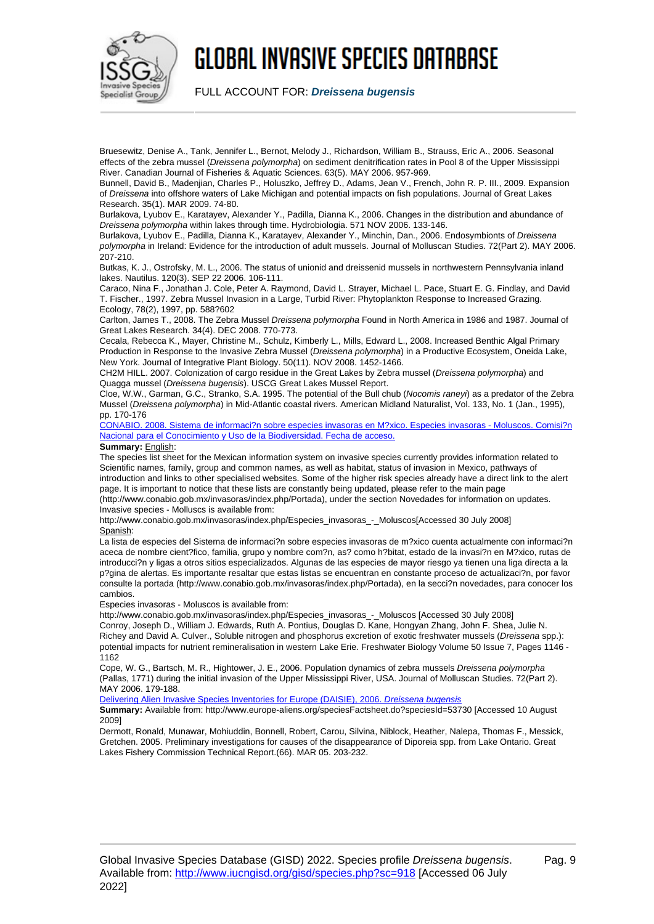

FULL ACCOUNT FOR: **Dreissena bugensis**

Bruesewitz, Denise A., Tank, Jennifer L., Bernot, Melody J., Richardson, William B., Strauss, Eric A., 2006. Seasonal effects of the zebra mussel (Dreissena polymorpha) on sediment denitrification rates in Pool 8 of the Upper Mississippi River. Canadian Journal of Fisheries & Aquatic Sciences. 63(5). MAY 2006. 957-969.

Bunnell, David B., Madenjian, Charles P., Holuszko, Jeffrey D., Adams, Jean V., French, John R. P. III., 2009. Expansion of Dreissena into offshore waters of Lake Michigan and potential impacts on fish populations. Journal of Great Lakes Research. 35(1). MAR 2009. 74-80.

Burlakova, Lyubov E., Karatayev, Alexander Y., Padilla, Dianna K., 2006. Changes in the distribution and abundance of Dreissena polymorpha within lakes through time. Hydrobiologia. 571 NOV 2006. 133-146.

Burlakova, Lyubov E., Padilla, Dianna K., Karatayev, Alexander Y., Minchin, Dan., 2006. Endosymbionts of Dreissena polymorpha in Ireland: Evidence for the introduction of adult mussels. Journal of Molluscan Studies. 72(Part 2). MAY 2006.  $207 - 210$ 

Butkas, K. J., Ostrofsky, M. L., 2006. The status of unionid and dreissenid mussels in northwestern Pennsylvania inland lakes. Nautilus. 120(3). SEP 22 2006. 106-111.

Caraco, Nina F., Jonathan J. Cole, Peter A. Raymond, David L. Strayer, Michael L. Pace, Stuart E. G. Findlay, and David T. Fischer., 1997. Zebra Mussel Invasion in a Large, Turbid River: Phytoplankton Response to Increased Grazing. Ecology, 78(2), 1997, pp. 588?602

Carlton, James T., 2008. The Zebra Mussel Dreissena polymorpha Found in North America in 1986 and 1987. Journal of Great Lakes Research. 34(4). DEC 2008. 770-773.

Cecala, Rebecca K., Mayer, Christine M., Schulz, Kimberly L., Mills, Edward L., 2008. Increased Benthic Algal Primary Production in Response to the Invasive Zebra Mussel (Dreissena polymorpha) in a Productive Ecosystem, Oneida Lake, New York. Journal of Integrative Plant Biology. 50(11). NOV 2008. 1452-1466.

CH2M HILL. 2007. Colonization of cargo residue in the Great Lakes by Zebra mussel (Dreissena polymorpha) and Quagga mussel (Dreissena bugensis). USCG Great Lakes Mussel Report.

Cloe, W.W., Garman, G.C., Stranko, S.A. 1995. The potential of the Bull chub (Nocomis raneyi) as a predator of the Zebra Mussel (Dreissena polymorpha) in Mid-Atlantic coastal rivers. American Midland Naturalist, Vol. 133, No. 1 (Jan., 1995), pp. 170-176

[CONABIO. 2008. Sistema de informaci?n sobre especies invasoras en M?xico. Especies invasoras - Moluscos. Comisi?n](http://www.conabio.gob.mx/invasoras/index.php/Especies_invasoras_-_Moluscos) [Nacional para el Conocimiento y Uso de la Biodiversidad. Fecha de acceso.](http://www.conabio.gob.mx/invasoras/index.php/Especies_invasoras_-_Moluscos)

#### **Summary:** English:

The species list sheet for the Mexican information system on invasive species currently provides information related to Scientific names, family, group and common names, as well as habitat, status of invasion in Mexico, pathways of introduction and links to other specialised websites. Some of the higher risk species already have a direct link to the alert page. It is important to notice that these lists are constantly being updated, please refer to the main page (http://www.conabio.gob.mx/invasoras/index.php/Portada), under the section Novedades for information on updates.

Invasive species - Molluscs is available from: http://www.conabio.gob.mx/invasoras/index.php/Especies\_invasoras\_-\_Moluscos[Accessed 30 July 2008] Spanish:

La lista de especies del Sistema de informaci?n sobre especies invasoras de m?xico cuenta actualmente con informaci?n aceca de nombre cient?fico, familia, grupo y nombre com?n, as? como h?bitat, estado de la invasi?n en M?xico, rutas de introducci?n y ligas a otros sitios especializados. Algunas de las especies de mayor riesgo ya tienen una liga directa a la p?gina de alertas. Es importante resaltar que estas listas se encuentran en constante proceso de actualizaci?n, por favor consulte la portada (http://www.conabio.gob.mx/invasoras/index.php/Portada), en la secci?n novedades, para conocer los cambios.

Especies invasoras - Moluscos is available from:

http://www.conabio.gob.mx/invasoras/index.php/Especies\_invasoras\_-\_Moluscos [Accessed 30 July 2008] Conroy, Joseph D., William J. Edwards, Ruth A. Pontius, Douglas D. Kane, Hongyan Zhang, John F. Shea, Julie N. Richey and David A. Culver., Soluble nitrogen and phosphorus excretion of exotic freshwater mussels (Dreissena spp.): potential impacts for nutrient remineralisation in western Lake Erie. Freshwater Biology Volume 50 Issue 7, Pages 1146 - 1162

Cope, W. G., Bartsch, M. R., Hightower, J. E., 2006. Population dynamics of zebra mussels Dreissena polymorpha (Pallas, 1771) during the initial invasion of the Upper Mississippi River, USA. Journal of Molluscan Studies. 72(Part 2). MAY 2006. 179-188.

[Delivering Alien Invasive Species Inventories for Europe \(DAISIE\), 2006.](http://www.europe-aliens.org/speciesFactsheet.do?speciesId=53730) [Dreissena bugensis](http://www.europe-aliens.org/speciesFactsheet.do?speciesId=53730)

**Summary:** Available from: http://www.europe-aliens.org/speciesFactsheet.do?speciesId=53730 [Accessed 10 August 2009]

Dermott, Ronald, Munawar, Mohiuddin, Bonnell, Robert, Carou, Silvina, Niblock, Heather, Nalepa, Thomas F., Messick, Gretchen. 2005. Preliminary investigations for causes of the disappearance of Diporeia spp. from Lake Ontario. Great Lakes Fishery Commission Technical Report.(66). MAR 05. 203-232.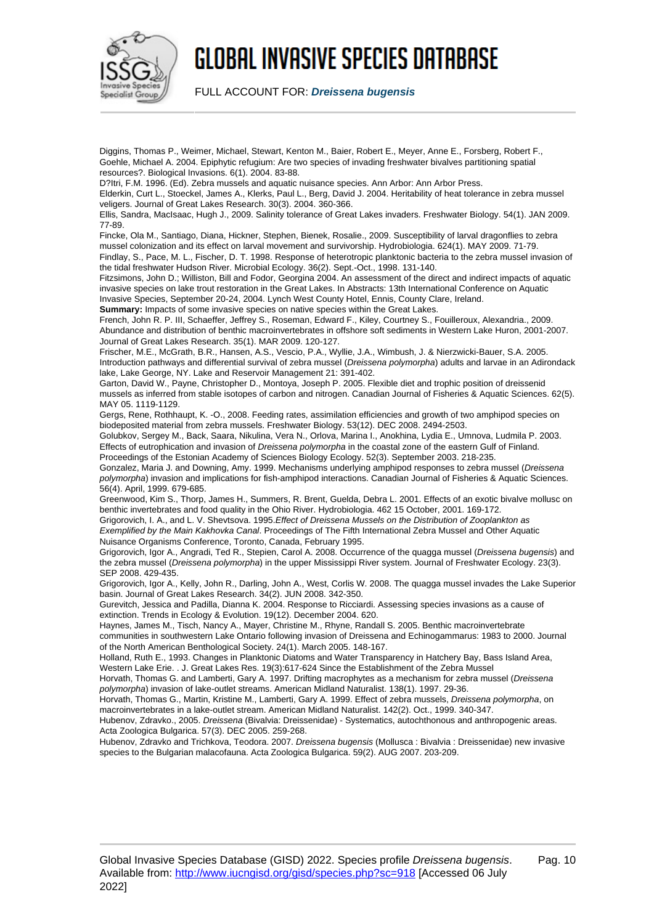

FULL ACCOUNT FOR: **Dreissena bugensis**

Diggins, Thomas P., Weimer, Michael, Stewart, Kenton M., Baier, Robert E., Meyer, Anne E., Forsberg, Robert F., Goehle, Michael A. 2004. Epiphytic refugium: Are two species of invading freshwater bivalves partitioning spatial resources?. Biological Invasions. 6(1). 2004. 83-88.

D?Itri, F.M. 1996. (Ed). Zebra mussels and aquatic nuisance species. Ann Arbor: Ann Arbor Press.

Elderkin, Curt L., Stoeckel, James A., Klerks, Paul L., Berg, David J. 2004. Heritability of heat tolerance in zebra mussel veligers. Journal of Great Lakes Research. 30(3). 2004. 360-366.

Ellis, Sandra, MacIsaac, Hugh J., 2009. Salinity tolerance of Great Lakes invaders. Freshwater Biology. 54(1). JAN 2009. 77-89.

Fincke, Ola M., Santiago, Diana, Hickner, Stephen, Bienek, Rosalie., 2009. Susceptibility of larval dragonflies to zebra mussel colonization and its effect on larval movement and survivorship. Hydrobiologia. 624(1). MAY 2009. 71-79. Findlay, S., Pace, M. L., Fischer, D. T. 1998. Response of heterotropic planktonic bacteria to the zebra mussel invasion of the tidal freshwater Hudson River. Microbial Ecology. 36(2). Sept.-Oct., 1998. 131-140.

Fitzsimons, John D.; Williston, Bill and Fodor, Georgina 2004. An assessment of the direct and indirect impacts of aquatic invasive species on lake trout restoration in the Great Lakes. In Abstracts: 13th International Conference on Aquatic Invasive Species, September 20-24, 2004. Lynch West County Hotel, Ennis, County Clare, Ireland.

**Summary:** Impacts of some invasive species on native species within the Great Lakes.

French, John R. P. III, Schaeffer, Jeffrey S., Roseman, Edward F., Kiley, Courtney S., Fouilleroux, Alexandria., 2009. Abundance and distribution of benthic macroinvertebrates in offshore soft sediments in Western Lake Huron, 2001-2007. Journal of Great Lakes Research. 35(1). MAR 2009. 120-127.

Frischer, M.E., McGrath, B.R., Hansen, A.S., Vescio, P.A., Wyllie, J.A., Wimbush, J. & Nierzwicki-Bauer, S.A. 2005. Introduction pathways and differential survival of zebra mussel (Dreissena polymorpha) adults and larvae in an Adirondack lake, Lake George, NY. Lake and Reservoir Management 21: 391-402.

Garton, David W., Payne, Christopher D., Montoya, Joseph P. 2005. Flexible diet and trophic position of dreissenid mussels as inferred from stable isotopes of carbon and nitrogen. Canadian Journal of Fisheries & Aquatic Sciences. 62(5). MAY 05. 1119-1129.

Gergs, Rene, Rothhaupt, K. -O., 2008. Feeding rates, assimilation efficiencies and growth of two amphipod species on biodeposited material from zebra mussels. Freshwater Biology. 53(12). DEC 2008. 2494-2503.

Golubkov, Sergey M., Back, Saara, Nikulina, Vera N., Orlova, Marina I., Anokhina, Lydia E., Umnova, Ludmila P. 2003. Effects of eutrophication and invasion of *Dreissena polymorpha* in the coastal zone of the eastern Gulf of Finland. Proceedings of the Estonian Academy of Sciences Biology Ecology. 52(3). September 2003. 218-235.

Gonzalez, Maria J. and Downing, Amy. 1999. Mechanisms underlying amphipod responses to zebra mussel (Dreissena polymorpha) invasion and implications for fish-amphipod interactions. Canadian Journal of Fisheries & Aquatic Sciences. 56(4). April, 1999. 679-685.

Greenwood, Kim S., Thorp, James H., Summers, R. Brent, Guelda, Debra L. 2001. Effects of an exotic bivalve mollusc on benthic invertebrates and food quality in the Ohio River. Hydrobiologia. 462 15 October, 2001. 169-172.

Grigorovich, I. A., and L. V. Shevtsova. 1995.Effect of Dreissena Mussels on the Distribution of Zooplankton as Exemplified by the Main Kakhovka Canal. Proceedings of The Fifth International Zebra Mussel and Other Aquatic Nuisance Organisms Conference, Toronto, Canada, February 1995.

Grigorovich, Igor A., Angradi, Ted R., Stepien, Carol A. 2008. Occurrence of the quagga mussel (Dreissena bugensis) and the zebra mussel (Dreissena polymorpha) in the upper Mississippi River system. Journal of Freshwater Ecology. 23(3). SEP 2008. 429-435.

Grigorovich, Igor A., Kelly, John R., Darling, John A., West, Corlis W. 2008. The quagga mussel invades the Lake Superior basin. Journal of Great Lakes Research. 34(2). JUN 2008. 342-350.

Gurevitch, Jessica and Padilla, Dianna K. 2004. Response to Ricciardi. Assessing species invasions as a cause of extinction. Trends in Ecology & Evolution. 19(12). December 2004. 620.

Haynes, James M., Tisch, Nancy A., Mayer, Christine M., Rhyne, Randall S. 2005. Benthic macroinvertebrate

communities in southwestern Lake Ontario following invasion of Dreissena and Echinogammarus: 1983 to 2000. Journal of the North American Benthological Society. 24(1). March 2005. 148-167.

Holland, Ruth E., 1993. Changes in Planktonic Diatoms and Water Transparency in Hatchery Bay, Bass Island Area, Western Lake Erie. . J. Great Lakes Res. 19(3):617-624 Since the Establishment of the Zebra Mussel

Horvath, Thomas G. and Lamberti, Gary A. 1997. Drifting macrophytes as a mechanism for zebra mussel (Dreissena polymorpha) invasion of lake-outlet streams. American Midland Naturalist. 138(1). 1997. 29-36.

Horvath, Thomas G., Martin, Kristine M., Lamberti, Gary A. 1999. Effect of zebra mussels, Dreissena polymorpha, on macroinvertebrates in a lake-outlet stream. American Midland Naturalist. 142(2). Oct., 1999. 340-347.

Hubenov, Zdravko., 2005. Dreissena (Bivalvia: Dreissenidae) - Systematics, autochthonous and anthropogenic areas. Acta Zoologica Bulgarica. 57(3). DEC 2005. 259-268.

Hubenov, Zdravko and Trichkova, Teodora. 2007. Dreissena bugensis (Mollusca : Bivalvia : Dreissenidae) new invasive species to the Bulgarian malacofauna. Acta Zoologica Bulgarica. 59(2). AUG 2007. 203-209.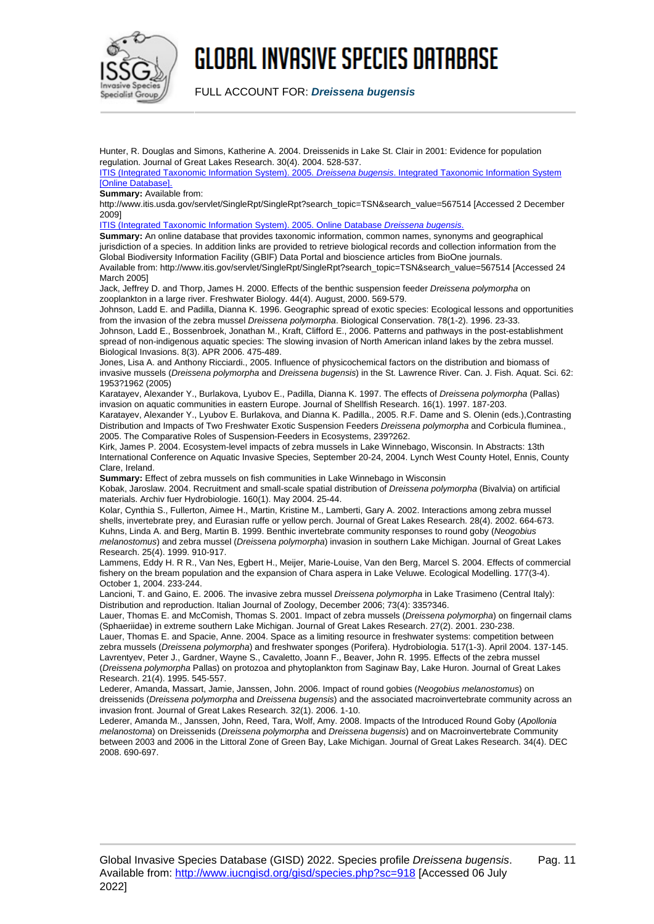

FULL ACCOUNT FOR: **Dreissena bugensis**

Hunter, R. Douglas and Simons, Katherine A. 2004. Dreissenids in Lake St. Clair in 2001: Evidence for population regulation. Journal of Great Lakes Research. 30(4). 2004. 528-537.

[ITIS \(Integrated Taxonomic Information System\). 2005.](http://www.itis.usda.gov/servlet/SingleRpt/SingleRpt?search_topic=TSN&search_value=567514) [Dreissena bugensis](http://www.itis.usda.gov/servlet/SingleRpt/SingleRpt?search_topic=TSN&search_value=567514)[. Integrated Taxonomic Information System](http://www.itis.usda.gov/servlet/SingleRpt/SingleRpt?search_topic=TSN&search_value=567514) [\[Online Database\].](http://www.itis.usda.gov/servlet/SingleRpt/SingleRpt?search_topic=TSN&search_value=567514)

**Summary:** Available from:

http://www.itis.usda.gov/servlet/SingleRpt/SingleRpt?search\_topic=TSN&search\_value=567514 [Accessed 2 December 2009]

[ITIS \(Integrated Taxonomic Information System\). 2005. Online Database](http://www.itis.gov/servlet/SingleRpt/SingleRpt?search_topic=TSN&search_value=567514) [Dreissena bugensis](http://www.itis.gov/servlet/SingleRpt/SingleRpt?search_topic=TSN&search_value=567514)[.](http://www.itis.gov/servlet/SingleRpt/SingleRpt?search_topic=TSN&search_value=567514)

**Summary:** An online database that provides taxonomic information, common names, synonyms and geographical jurisdiction of a species. In addition links are provided to retrieve biological records and collection information from the Global Biodiversity Information Facility (GBIF) Data Portal and bioscience articles from BioOne journals.

Available from: http://www.itis.gov/servlet/SingleRpt/SingleRpt?search\_topic=TSN&search\_value=567514 [Accessed 24 March 2005]

Jack, Jeffrey D. and Thorp, James H. 2000. Effects of the benthic suspension feeder Dreissena polymorpha on zooplankton in a large river. Freshwater Biology. 44(4). August, 2000. 569-579.

Johnson, Ladd E. and Padilla, Dianna K. 1996. Geographic spread of exotic species: Ecological lessons and opportunities from the invasion of the zebra mussel Dreissena polymorpha. Biological Conservation. 78(1-2). 1996. 23-33.

Johnson, Ladd E., Bossenbroek, Jonathan M., Kraft, Clifford E., 2006. Patterns and pathways in the post-establishment spread of non-indigenous aquatic species: The slowing invasion of North American inland lakes by the zebra mussel. Biological Invasions. 8(3). APR 2006. 475-489.

Jones, Lisa A. and Anthony Ricciardi., 2005. Influence of physicochemical factors on the distribution and biomass of invasive mussels (Dreissena polymorpha and Dreissena bugensis) in the St. Lawrence River. Can. J. Fish. Aquat. Sci. 62: 1953?1962 (2005)

Karatayev, Alexander Y., Burlakova, Lyubov E., Padilla, Dianna K. 1997. The effects of Dreissena polymorpha (Pallas) invasion on aquatic communities in eastern Europe. Journal of Shellfish Research. 16(1). 1997. 187-203.

Karatayev, Alexander Y., Lyubov E. Burlakova, and Dianna K. Padilla., 2005. R.F. Dame and S. Olenin (eds.),Contrasting Distribution and Impacts of Two Freshwater Exotic Suspension Feeders Dreissena polymorpha and Corbicula fluminea., 2005. The Comparative Roles of Suspension-Feeders in Ecosystems, 239?262.

Kirk, James P. 2004. Ecosystem-level impacts of zebra mussels in Lake Winnebago, Wisconsin. In Abstracts: 13th International Conference on Aquatic Invasive Species, September 20-24, 2004. Lynch West County Hotel, Ennis, County Clare, Ireland.

**Summary:** Effect of zebra mussels on fish communities in Lake Winnebago in Wisconsin

Kobak, Jaroslaw. 2004. Recruitment and small-scale spatial distribution of Dreissena polymorpha (Bivalvia) on artificial materials. Archiv fuer Hydrobiologie. 160(1). May 2004. 25-44.

Kolar, Cynthia S., Fullerton, Aimee H., Martin, Kristine M., Lamberti, Gary A. 2002. Interactions among zebra mussel shells, invertebrate prey, and Eurasian ruffe or yellow perch. Journal of Great Lakes Research. 28(4). 2002. 664-673. Kuhns, Linda A. and Berg, Martin B. 1999. Benthic invertebrate community responses to round goby (Neogobius melanostomus) and zebra mussel (Dreissena polymorpha) invasion in southern Lake Michigan. Journal of Great Lakes Research. 25(4). 1999. 910-917.

Lammens, Eddy H. R R., Van Nes, Egbert H., Meijer, Marie-Louise, Van den Berg, Marcel S. 2004. Effects of commercial fishery on the bream population and the expansion of Chara aspera in Lake Veluwe. Ecological Modelling. 177(3-4). October 1, 2004. 233-244.

Lancioni, T. and Gaino, E. 2006. The invasive zebra mussel Dreissena polymorpha in Lake Trasimeno (Central Italy): Distribution and reproduction. Italian Journal of Zoology, December 2006; 73(4): 335?346.

Lauer, Thomas E. and McComish, Thomas S. 2001. Impact of zebra mussels (Dreissena polymorpha) on fingernail clams (Sphaeriidae) in extreme southern Lake Michigan. Journal of Great Lakes Research. 27(2). 2001. 230-238.

Lauer, Thomas E. and Spacie, Anne. 2004. Space as a limiting resource in freshwater systems: competition between zebra mussels (Dreissena polymorpha) and freshwater sponges (Porifera). Hydrobiologia. 517(1-3). April 2004. 137-145. Lavrentyev, Peter J., Gardner, Wayne S., Cavaletto, Joann F., Beaver, John R. 1995. Effects of the zebra mussel (Dreissena polymorpha Pallas) on protozoa and phytoplankton from Saginaw Bay, Lake Huron. Journal of Great Lakes Research. 21(4). 1995. 545-557.

Lederer, Amanda, Massart, Jamie, Janssen, John. 2006. Impact of round gobies (Neogobius melanostomus) on dreissenids (Dreissena polymorpha and Dreissena bugensis) and the associated macroinvertebrate community across an invasion front. Journal of Great Lakes Research. 32(1). 2006. 1-10.

Lederer, Amanda M., Janssen, John, Reed, Tara, Wolf, Amy. 2008. Impacts of the Introduced Round Goby (Apollonia melanostoma) on Dreissenids (Dreissena polymorpha and Dreissena bugensis) and on Macroinvertebrate Community between 2003 and 2006 in the Littoral Zone of Green Bay, Lake Michigan. Journal of Great Lakes Research. 34(4). DEC 2008. 690-697.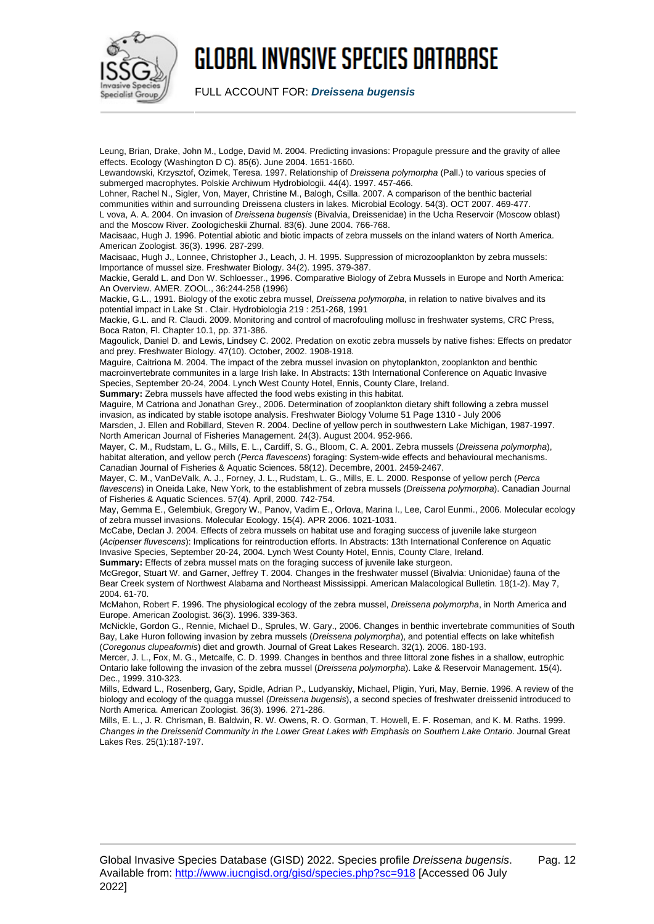

FULL ACCOUNT FOR: **Dreissena bugensis**

Leung, Brian, Drake, John M., Lodge, David M. 2004. Predicting invasions: Propagule pressure and the gravity of allee effects. Ecology (Washington D C). 85(6). June 2004. 1651-1660. Lewandowski, Krzysztof, Ozimek, Teresa. 1997. Relationship of Dreissena polymorpha (Pall.) to various species of submerged macrophytes. Polskie Archiwum Hydrobiologii. 44(4). 1997. 457-466. Lohner, Rachel N., Sigler, Von, Mayer, Christine M., Balogh, Csilla. 2007. A comparison of the benthic bacterial communities within and surrounding Dreissena clusters in lakes. Microbial Ecology. 54(3). OCT 2007. 469-477. L vova, A. A. 2004. On invasion of Dreissena bugensis (Bivalvia, Dreissenidae) in the Ucha Reservoir (Moscow oblast) and the Moscow River. Zoologicheskii Zhurnal. 83(6). June 2004. 766-768. Macisaac, Hugh J. 1996. Potential abiotic and biotic impacts of zebra mussels on the inland waters of North America. American Zoologist. 36(3). 1996. 287-299. Macisaac, Hugh J., Lonnee, Christopher J., Leach, J. H. 1995. Suppression of microzooplankton by zebra mussels: Importance of mussel size. Freshwater Biology. 34(2). 1995. 379-387. Mackie, Gerald L. and Don W. Schloesser., 1996. Comparative Biology of Zebra Mussels in Europe and North America: An Overview. AMER. ZOOL., 36:244-258 (1996) Mackie, G.L., 1991. Biology of the exotic zebra mussel, *Dreissena polymorpha*, in relation to native bivalves and its potential impact in Lake St . Clair. Hydrobiologia 219 : 251-268, 1991 Mackie, G.L. and R. Claudi. 2009. Monitoring and control of macrofouling mollusc in freshwater systems, CRC Press, Boca Raton, Fl. Chapter 10.1, pp. 371-386. Magoulick, Daniel D. and Lewis, Lindsey C. 2002. Predation on exotic zebra mussels by native fishes: Effects on predator and prey. Freshwater Biology. 47(10). October, 2002. 1908-1918. Maguire, Caitriona M. 2004. The impact of the zebra mussel invasion on phytoplankton, zooplankton and benthic macroinvertebrate communites in a large Irish lake. In Abstracts: 13th International Conference on Aquatic Invasive Species, September 20-24, 2004. Lynch West County Hotel, Ennis, County Clare, Ireland. **Summary:** Zebra mussels have affected the food webs existing in this habitat. Maguire, M Catriona and Jonathan Grey., 2006. Determination of zooplankton dietary shift following a zebra mussel invasion, as indicated by stable isotope analysis. Freshwater Biology Volume 51 Page 1310 - July 2006 Marsden, J. Ellen and Robillard, Steven R. 2004. Decline of yellow perch in southwestern Lake Michigan, 1987-1997. North American Journal of Fisheries Management. 24(3). August 2004. 952-966. Mayer, C. M., Rudstam, L. G., Mills, E. L., Cardiff, S. G., Bloom, C. A. 2001. Zebra mussels (Dreissena polymorpha), habitat alteration, and yellow perch (Perca flavescens) foraging: System-wide effects and behavioural mechanisms. Canadian Journal of Fisheries & Aquatic Sciences. 58(12). Decembre, 2001. 2459-2467. Mayer, C. M., VanDeValk, A. J., Forney, J. L., Rudstam, L. G., Mills, E. L. 2000. Response of yellow perch (Perca flavescens) in Oneida Lake, New York, to the establishment of zebra mussels (Dreissena polymorpha). Canadian Journal of Fisheries & Aquatic Sciences. 57(4). April, 2000. 742-754. May, Gemma E., Gelembiuk, Gregory W., Panov, Vadim E., Orlova, Marina I., Lee, Carol Eunmi., 2006. Molecular ecology of zebra mussel invasions. Molecular Ecology. 15(4). APR 2006. 1021-1031. McCabe, Declan J. 2004. Effects of zebra mussels on habitat use and foraging success of juvenile lake sturgeon (Acipenser fluvescens): Implications for reintroduction efforts. In Abstracts: 13th International Conference on Aquatic Invasive Species, September 20-24, 2004. Lynch West County Hotel, Ennis, County Clare, Ireland. **Summary:** Effects of zebra mussel mats on the foraging success of juvenile lake sturgeon. McGregor, Stuart W. and Garner, Jeffrey T. 2004. Changes in the freshwater mussel (Bivalvia: Unionidae) fauna of the Bear Creek system of Northwest Alabama and Northeast Mississippi. American Malacological Bulletin. 18(1-2). May 7, 2004. 61-70. McMahon, Robert F. 1996. The physiological ecology of the zebra mussel, Dreissena polymorpha, in North America and Europe. American Zoologist. 36(3). 1996. 339-363. McNickle, Gordon G., Rennie, Michael D., Sprules, W. Gary., 2006. Changes in benthic invertebrate communities of South

Bay, Lake Huron following invasion by zebra mussels (Dreissena polymorpha), and potential effects on lake whitefish (Coregonus clupeaformis) diet and growth. Journal of Great Lakes Research. 32(1). 2006. 180-193. Mercer, J. L., Fox, M. G., Metcalfe, C. D. 1999. Changes in benthos and three littoral zone fishes in a shallow, eutrophic

Ontario lake following the invasion of the zebra mussel (Dreissena polymorpha). Lake & Reservoir Management. 15(4). Dec., 1999. 310-323.

Mills, Edward L., Rosenberg, Gary, Spidle, Adrian P., Ludyanskiy, Michael, Pligin, Yuri, May, Bernie. 1996. A review of the biology and ecology of the quagga mussel (Dreissena bugensis), a second species of freshwater dreissenid introduced to North America. American Zoologist. 36(3). 1996. 271-286.

Mills, E. L., J. R. Chrisman, B. Baldwin, R. W. Owens, R. O. Gorman, T. Howell, E. F. Roseman, and K. M. Raths. 1999. Changes in the Dreissenid Community in the Lower Great Lakes with Emphasis on Southern Lake Ontario. Journal Great Lakes Res. 25(1):187-197.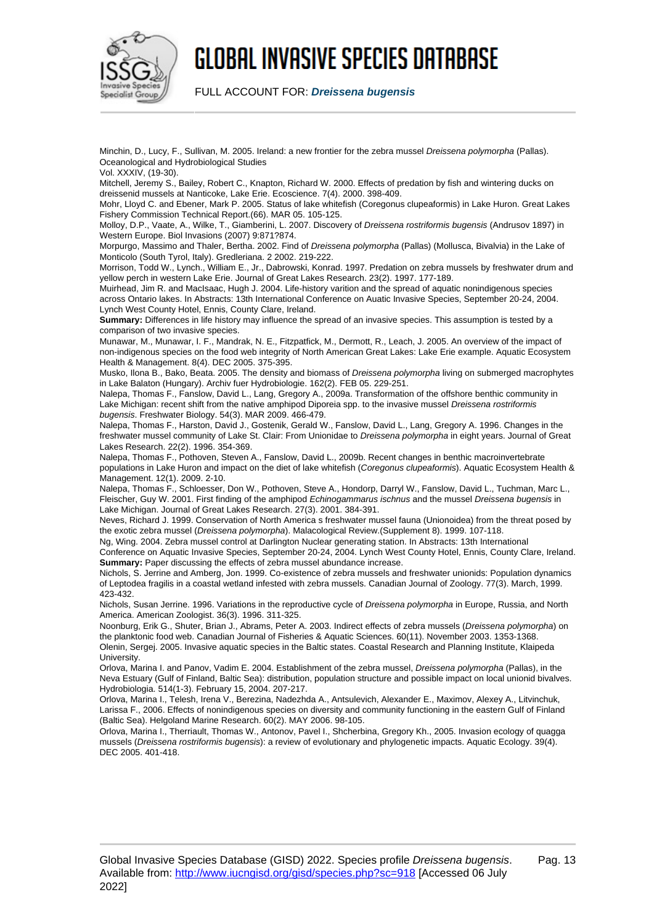

FULL ACCOUNT FOR: **Dreissena bugensis**

Minchin, D., Lucy, F., Sullivan, M. 2005. Ireland: a new frontier for the zebra mussel Dreissena polymorpha (Pallas). Oceanological and Hydrobiological Studies

Vol. XXXIV, (19-30).

Mitchell, Jeremy S., Bailey, Robert C., Knapton, Richard W. 2000. Effects of predation by fish and wintering ducks on dreissenid mussels at Nanticoke, Lake Erie. Ecoscience. 7(4). 2000. 398-409.

Mohr, Lloyd C. and Ebener, Mark P. 2005. Status of lake whitefish (Coregonus clupeaformis) in Lake Huron. Great Lakes Fishery Commission Technical Report.(66). MAR 05. 105-125.

Molloy, D.P., Vaate, A., Wilke, T., Giamberini, L. 2007. Discovery of Dreissena rostriformis bugensis (Andrusov 1897) in Western Europe. Biol Invasions (2007) 9:871?874.

Morpurgo, Massimo and Thaler, Bertha. 2002. Find of Dreissena polymorpha (Pallas) (Mollusca, Bivalvia) in the Lake of Monticolo (South Tyrol, Italy). Gredleriana. 2 2002. 219-222.

Morrison, Todd W., Lynch., William E., Jr., Dabrowski, Konrad. 1997. Predation on zebra mussels by freshwater drum and yellow perch in western Lake Erie. Journal of Great Lakes Research. 23(2). 1997. 177-189.

Muirhead, Jim R. and MacIsaac, Hugh J. 2004. Life-history varition and the spread of aquatic nonindigenous species across Ontario lakes. In Abstracts: 13th International Conference on Auatic Invasive Species, September 20-24, 2004. Lynch West County Hotel, Ennis, County Clare, Ireland.

**Summary:** Differences in life history may influence the spread of an invasive species. This assumption is tested by a comparison of two invasive species.

Munawar, M., Munawar, I. F., Mandrak, N. E., Fitzpatfick, M., Dermott, R., Leach, J. 2005. An overview of the impact of non-indigenous species on the food web integrity of North American Great Lakes: Lake Erie example. Aquatic Ecosystem Health & Management. 8(4). DEC 2005. 375-395.

Musko, Ilona B., Bako, Beata. 2005. The density and biomass of Dreissena polymorpha living on submerged macrophytes in Lake Balaton (Hungary). Archiv fuer Hydrobiologie. 162(2). FEB 05. 229-251.

Nalepa, Thomas F., Fanslow, David L., Lang, Gregory A., 2009a. Transformation of the offshore benthic community in Lake Michigan: recent shift from the native amphipod Diporeia spp. to the invasive mussel Dreissena rostriformis bugensis. Freshwater Biology. 54(3). MAR 2009. 466-479.

Nalepa, Thomas F., Harston, David J., Gostenik, Gerald W., Fanslow, David L., Lang, Gregory A. 1996. Changes in the freshwater mussel community of Lake St. Clair: From Unionidae to Dreissena polymorpha in eight years. Journal of Great Lakes Research. 22(2). 1996. 354-369.

Nalepa, Thomas F., Pothoven, Steven A., Fanslow, David L., 2009b. Recent changes in benthic macroinvertebrate populations in Lake Huron and impact on the diet of lake whitefish (Coregonus clupeaformis). Aquatic Ecosystem Health & Management. 12(1). 2009. 2-10.

Nalepa, Thomas F., Schloesser, Don W., Pothoven, Steve A., Hondorp, Darryl W., Fanslow, David L., Tuchman, Marc L., Fleischer, Guy W. 2001. First finding of the amphipod Echinogammarus ischnus and the mussel Dreissena bugensis in Lake Michigan. Journal of Great Lakes Research. 27(3). 2001. 384-391.

Neves, Richard J. 1999. Conservation of North America s freshwater mussel fauna (Unionoidea) from the threat posed by the exotic zebra mussel (Dreissena polymorpha). Malacological Review.(Supplement 8). 1999. 107-118.

Ng, Wing. 2004. Zebra mussel control at Darlington Nuclear generating station. In Abstracts: 13th International Conference on Aquatic Invasive Species, September 20-24, 2004. Lynch West County Hotel, Ennis, County Clare, Ireland. **Summary:** Paper discussing the effects of zebra mussel abundance increase.

Nichols, S. Jerrine and Amberg, Jon. 1999. Co-existence of zebra mussels and freshwater unionids: Population dynamics of Leptodea fragilis in a coastal wetland infested with zebra mussels. Canadian Journal of Zoology. 77(3). March, 1999. 423-432.

Nichols, Susan Jerrine. 1996. Variations in the reproductive cycle of Dreissena polymorpha in Europe, Russia, and North America. American Zoologist. 36(3). 1996. 311-325.

Noonburg, Erik G., Shuter, Brian J., Abrams, Peter A. 2003. Indirect effects of zebra mussels (Dreissena polymorpha) on the planktonic food web. Canadian Journal of Fisheries & Aquatic Sciences. 60(11). November 2003. 1353-1368. Olenin, Sergej. 2005. Invasive aquatic species in the Baltic states. Coastal Research and Planning Institute, Klaipeda **University** 

Orlova, Marina I. and Panov, Vadim E. 2004. Establishment of the zebra mussel, Dreissena polymorpha (Pallas), in the Neva Estuary (Gulf of Finland, Baltic Sea): distribution, population structure and possible impact on local unionid bivalves. Hydrobiologia. 514(1-3). February 15, 2004. 207-217.

Orlova, Marina I., Telesh, Irena V., Berezina, Nadezhda A., Antsulevich, Alexander E., Maximov, Alexey A., Litvinchuk, Larissa F., 2006. Effects of nonindigenous species on diversity and community functioning in the eastern Gulf of Finland (Baltic Sea). Helgoland Marine Research. 60(2). MAY 2006. 98-105.

Orlova, Marina I., Therriault, Thomas W., Antonov, Pavel I., Shcherbina, Gregory Kh., 2005. Invasion ecology of quagga mussels (Dreissena rostriformis bugensis): a review of evolutionary and phylogenetic impacts. Aquatic Ecology. 39(4). DEC 2005. 401-418.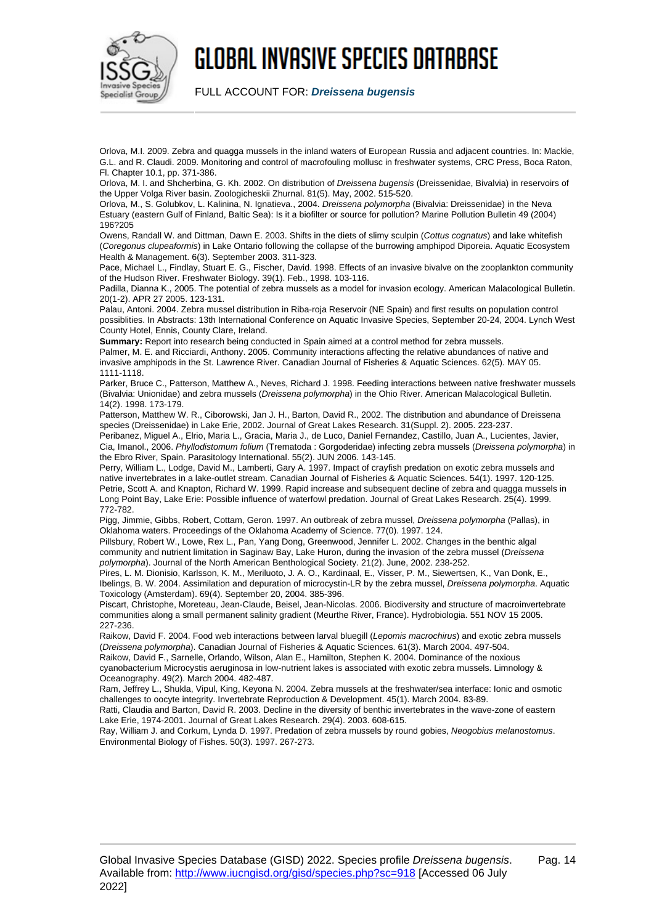

FULL ACCOUNT FOR: **Dreissena bugensis**

Orlova, M.I. 2009. Zebra and quagga mussels in the inland waters of European Russia and adjacent countries. In: Mackie, G.L. and R. Claudi. 2009. Monitoring and control of macrofouling mollusc in freshwater systems, CRC Press, Boca Raton, Fl. Chapter 10.1, pp. 371-386.

Orlova, M. I. and Shcherbina, G. Kh. 2002. On distribution of Dreissena bugensis (Dreissenidae, Bivalvia) in reservoirs of the Upper Volga River basin. Zoologicheskii Zhurnal. 81(5). May, 2002. 515-520.

Orlova, M., S. Golubkov, L. Kalinina, N. Ignatieva., 2004. Dreissena polymorpha (Bivalvia: Dreissenidae) in the Neva Estuary (eastern Gulf of Finland, Baltic Sea): Is it a biofilter or source for pollution? Marine Pollution Bulletin 49 (2004) 196?205

Owens, Randall W. and Dittman, Dawn E. 2003. Shifts in the diets of slimy sculpin (Cottus cognatus) and lake whitefish (Coregonus clupeaformis) in Lake Ontario following the collapse of the burrowing amphipod Diporeia. Aquatic Ecosystem Health & Management. 6(3). September 2003. 311-323.

Pace, Michael L., Findlay, Stuart E. G., Fischer, David. 1998. Effects of an invasive bivalve on the zooplankton community of the Hudson River. Freshwater Biology. 39(1). Feb., 1998. 103-116.

Padilla, Dianna K., 2005. The potential of zebra mussels as a model for invasion ecology. American Malacological Bulletin. 20(1-2). APR 27 2005. 123-131.

Palau, Antoni. 2004. Zebra mussel distribution in Riba-roja Reservoir (NE Spain) and first results on population control possiblities. In Abstracts: 13th International Conference on Aquatic Invasive Species, September 20-24, 2004. Lynch West County Hotel, Ennis, County Clare, Ireland.

**Summary:** Report into research being conducted in Spain aimed at a control method for zebra mussels. Palmer, M. E. and Ricciardi, Anthony. 2005. Community interactions affecting the relative abundances of native and invasive amphipods in the St. Lawrence River. Canadian Journal of Fisheries & Aquatic Sciences. 62(5). MAY 05. 1111-1118.

Parker, Bruce C., Patterson, Matthew A., Neves, Richard J. 1998. Feeding interactions between native freshwater mussels (Bivalvia: Unionidae) and zebra mussels (Dreissena polymorpha) in the Ohio River. American Malacological Bulletin. 14(2). 1998. 173-179.

Patterson, Matthew W. R., Ciborowski, Jan J. H., Barton, David R., 2002. The distribution and abundance of Dreissena species (Dreissenidae) in Lake Erie, 2002. Journal of Great Lakes Research. 31(Suppl. 2). 2005. 223-237.

Peribanez, Miguel A., Elrio, Maria L., Gracia, Maria J., de Luco, Daniel Fernandez, Castillo, Juan A., Lucientes, Javier, Cia, Imanol., 2006. Phyllodistomum folium (Trematoda : Gorgoderidae) infecting zebra mussels (Dreissena polymorpha) in the Ebro River, Spain. Parasitology International. 55(2). JUN 2006. 143-145.

Perry, William L., Lodge, David M., Lamberti, Gary A. 1997. Impact of crayfish predation on exotic zebra mussels and native invertebrates in a lake-outlet stream. Canadian Journal of Fisheries & Aquatic Sciences. 54(1). 1997. 120-125. Petrie, Scott A. and Knapton, Richard W. 1999. Rapid increase and subsequent decline of zebra and quagga mussels in Long Point Bay, Lake Erie: Possible influence of waterfowl predation. Journal of Great Lakes Research. 25(4). 1999. 772-782.

Pigg, Jimmie, Gibbs, Robert, Cottam, Geron. 1997. An outbreak of zebra mussel, Dreissena polymorpha (Pallas), in Oklahoma waters. Proceedings of the Oklahoma Academy of Science. 77(0). 1997. 124.

Pillsbury, Robert W., Lowe, Rex L., Pan, Yang Dong, Greenwood, Jennifer L. 2002. Changes in the benthic algal community and nutrient limitation in Saginaw Bay, Lake Huron, during the invasion of the zebra mussel (Dreissena polymorpha). Journal of the North American Benthological Society. 21(2). June, 2002. 238-252.

Pires, L. M. Dionisio, Karlsson, K. M., Meriluoto, J. A. O., Kardinaal, E., Visser, P. M., Siewertsen, K., Van Donk, E., Ibelings, B. W. 2004. Assimilation and depuration of microcystin-LR by the zebra mussel, Dreissena polymorpha. Aquatic Toxicology (Amsterdam). 69(4). September 20, 2004. 385-396.

Piscart, Christophe, Moreteau, Jean-Claude, Beisel, Jean-Nicolas. 2006. Biodiversity and structure of macroinvertebrate communities along a small permanent salinity gradient (Meurthe River, France). Hydrobiologia. 551 NOV 15 2005. 227-236.

Raikow, David F. 2004. Food web interactions between larval bluegill (Lepomis macrochirus) and exotic zebra mussels (Dreissena polymorpha). Canadian Journal of Fisheries & Aquatic Sciences. 61(3). March 2004. 497-504.

Raikow, David F., Sarnelle, Orlando, Wilson, Alan E., Hamilton, Stephen K. 2004. Dominance of the noxious cyanobacterium Microcystis aeruginosa in low-nutrient lakes is associated with exotic zebra mussels. Limnology & Oceanography. 49(2). March 2004. 482-487.

Ram, Jeffrey L., Shukla, Vipul, King, Keyona N. 2004. Zebra mussels at the freshwater/sea interface: Ionic and osmotic challenges to oocyte integrity. Invertebrate Reproduction & Development. 45(1). March 2004. 83-89.

Ratti, Claudia and Barton, David R. 2003. Decline in the diversity of benthic invertebrates in the wave-zone of eastern Lake Erie, 1974-2001. Journal of Great Lakes Research. 29(4). 2003. 608-615.

Ray, William J. and Corkum, Lynda D. 1997. Predation of zebra mussels by round gobies, Neogobius melanostomus. Environmental Biology of Fishes. 50(3). 1997. 267-273.

#### Global Invasive Species Database (GISD) 2022. Species profile Dreissena bugensis. Available from: <http://www.iucngisd.org/gisd/species.php?sc=918> [Accessed 06 July 2022]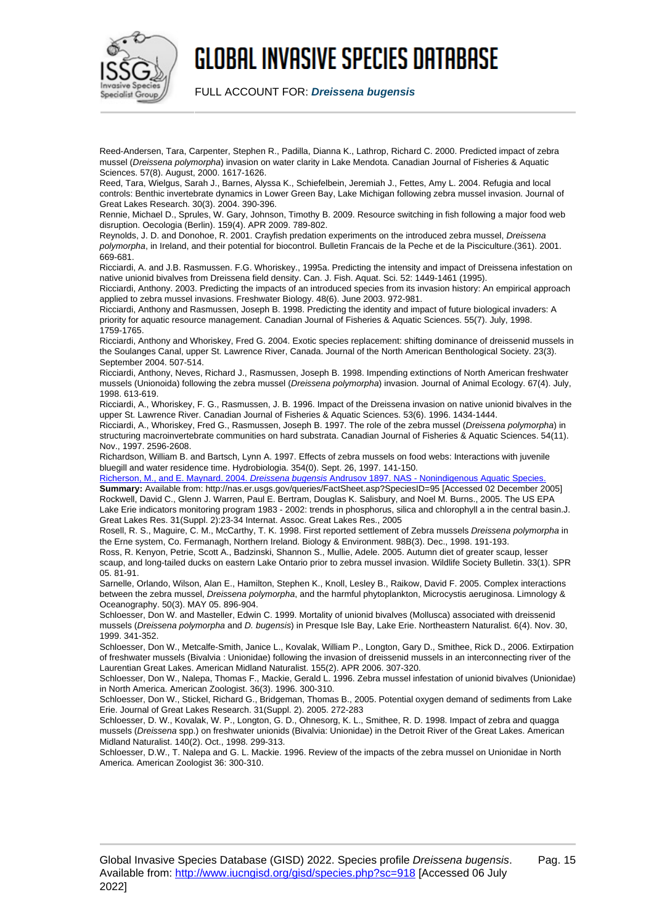

FULL ACCOUNT FOR: **Dreissena bugensis**

Reed-Andersen, Tara, Carpenter, Stephen R., Padilla, Dianna K., Lathrop, Richard C. 2000. Predicted impact of zebra mussel (Dreissena polymorpha) invasion on water clarity in Lake Mendota. Canadian Journal of Fisheries & Aquatic Sciences. 57(8). August, 2000. 1617-1626.

Reed, Tara, Wielgus, Sarah J., Barnes, Alyssa K., Schiefelbein, Jeremiah J., Fettes, Amy L. 2004. Refugia and local controls: Benthic invertebrate dynamics in Lower Green Bay, Lake Michigan following zebra mussel invasion. Journal of Great Lakes Research. 30(3). 2004. 390-396.

Rennie, Michael D., Sprules, W. Gary, Johnson, Timothy B. 2009. Resource switching in fish following a major food web disruption. Oecologia (Berlin). 159(4). APR 2009. 789-802.

Reynolds, J. D. and Donohoe, R. 2001. Crayfish predation experiments on the introduced zebra mussel, Dreissena polymorpha, in Ireland, and their potential for biocontrol. Bulletin Francais de la Peche et de la Pisciculture.(361). 2001.  $669-681$ 

Ricciardi, A. and J.B. Rasmussen. F.G. Whoriskey., 1995a. Predicting the intensity and impact of Dreissena infestation on native unionid bivalves from Dreissena field density. Can. J. Fish. Aquat. Sci. 52: 1449-1461 (1995).

Ricciardi, Anthony. 2003. Predicting the impacts of an introduced species from its invasion history: An empirical approach applied to zebra mussel invasions. Freshwater Biology. 48(6). June 2003. 972-981.

Ricciardi, Anthony and Rasmussen, Joseph B. 1998. Predicting the identity and impact of future biological invaders: A priority for aquatic resource management. Canadian Journal of Fisheries & Aquatic Sciences. 55(7). July, 1998. 1759-1765.

Ricciardi, Anthony and Whoriskey, Fred G. 2004. Exotic species replacement: shifting dominance of dreissenid mussels in the Soulanges Canal, upper St. Lawrence River, Canada. Journal of the North American Benthological Society. 23(3). September 2004. 507-514.

Ricciardi, Anthony, Neves, Richard J., Rasmussen, Joseph B. 1998. Impending extinctions of North American freshwater mussels (Unionoida) following the zebra mussel (Dreissena polymorpha) invasion. Journal of Animal Ecology. 67(4). July, 1998. 613-619.

Ricciardi, A., Whoriskey, F. G., Rasmussen, J. B. 1996. Impact of the Dreissena invasion on native unionid bivalves in the upper St. Lawrence River. Canadian Journal of Fisheries & Aquatic Sciences. 53(6). 1996. 1434-1444.

Ricciardi, A., Whoriskey, Fred G., Rasmussen, Joseph B. 1997. The role of the zebra mussel (Dreissena polymorpha) in structuring macroinvertebrate communities on hard substrata. Canadian Journal of Fisheries & Aquatic Sciences. 54(11). Nov., 1997. 2596-2608.

Richardson, William B. and Bartsch, Lynn A. 1997. Effects of zebra mussels on food webs: Interactions with juvenile bluegill and water residence time. Hydrobiologia. 354(0). Sept. 26, 1997. 141-150.

[Richerson, M., and E. Maynard. 2004.](http://nas.er.usgs.gov/queries/FactSheet.asp?SpeciesID=95) [Dreissena bugensis](http://nas.er.usgs.gov/queries/FactSheet.asp?SpeciesID=95) [Andrusov 1897. NAS - Nonindigenous Aquatic Species.](http://nas.er.usgs.gov/queries/FactSheet.asp?SpeciesID=95) **Summary:** Available from: http://nas.er.usgs.gov/queries/FactSheet.asp?SpeciesID=95 [Accessed 02 December 2005] Rockwell, David C., Glenn J. Warren, Paul E. Bertram, Douglas K. Salisbury, and Noel M. Burns., 2005. The US EPA Lake Erie indicators monitoring program 1983 - 2002: trends in phosphorus, silica and chlorophyll a in the central basin.J. Great Lakes Res. 31(Suppl. 2):23-34 Internat. Assoc. Great Lakes Res., 2005

Rosell, R. S., Maguire, C. M., McCarthy, T. K. 1998. First reported settlement of Zebra mussels Dreissena polymorpha in the Erne system, Co. Fermanagh, Northern Ireland. Biology & Environment. 98B(3). Dec., 1998. 191-193.

Ross, R. Kenyon, Petrie, Scott A., Badzinski, Shannon S., Mullie, Adele. 2005. Autumn diet of greater scaup, lesser scaup, and long-tailed ducks on eastern Lake Ontario prior to zebra mussel invasion. Wildlife Society Bulletin. 33(1). SPR 05. 81-91.

Sarnelle, Orlando, Wilson, Alan E., Hamilton, Stephen K., Knoll, Lesley B., Raikow, David F. 2005. Complex interactions between the zebra mussel, Dreissena polymorpha, and the harmful phytoplankton, Microcystis aeruginosa. Limnology & Oceanography. 50(3). MAY 05. 896-904.

Schloesser, Don W. and Masteller, Edwin C. 1999. Mortality of unionid bivalves (Mollusca) associated with dreissenid mussels (Dreissena polymorpha and D. bugensis) in Presque Isle Bay, Lake Erie. Northeastern Naturalist. 6(4), Nov. 30, 1999. 341-352.

Schloesser, Don W., Metcalfe-Smith, Janice L., Kovalak, William P., Longton, Gary D., Smithee, Rick D., 2006. Extirpation of freshwater mussels (Bivalvia : Unionidae) following the invasion of dreissenid mussels in an interconnecting river of the Laurentian Great Lakes. American Midland Naturalist. 155(2). APR 2006. 307-320.

Schloesser, Don W., Nalepa, Thomas F., Mackie, Gerald L. 1996. Zebra mussel infestation of unionid bivalves (Unionidae) in North America. American Zoologist. 36(3). 1996. 300-310.

Schloesser, Don W., Stickel, Richard G., Bridgeman, Thomas B., 2005. Potential oxygen demand of sediments from Lake Erie. Journal of Great Lakes Research. 31(Suppl. 2). 2005. 272-283

Schloesser, D. W., Kovalak, W. P., Longton, G. D., Ohnesorg, K. L., Smithee, R. D. 1998. Impact of zebra and quagga mussels (Dreissena spp.) on freshwater unionids (Bivalvia: Unionidae) in the Detroit River of the Great Lakes. American Midland Naturalist. 140(2). Oct., 1998. 299-313.

Schloesser, D.W., T. Nalepa and G. L. Mackie. 1996. Review of the impacts of the zebra mussel on Unionidae in North America. American Zoologist 36: 300-310.

#### Global Invasive Species Database (GISD) 2022. Species profile Dreissena bugensis. Available from: <http://www.iucngisd.org/gisd/species.php?sc=918> [Accessed 06 July 2022]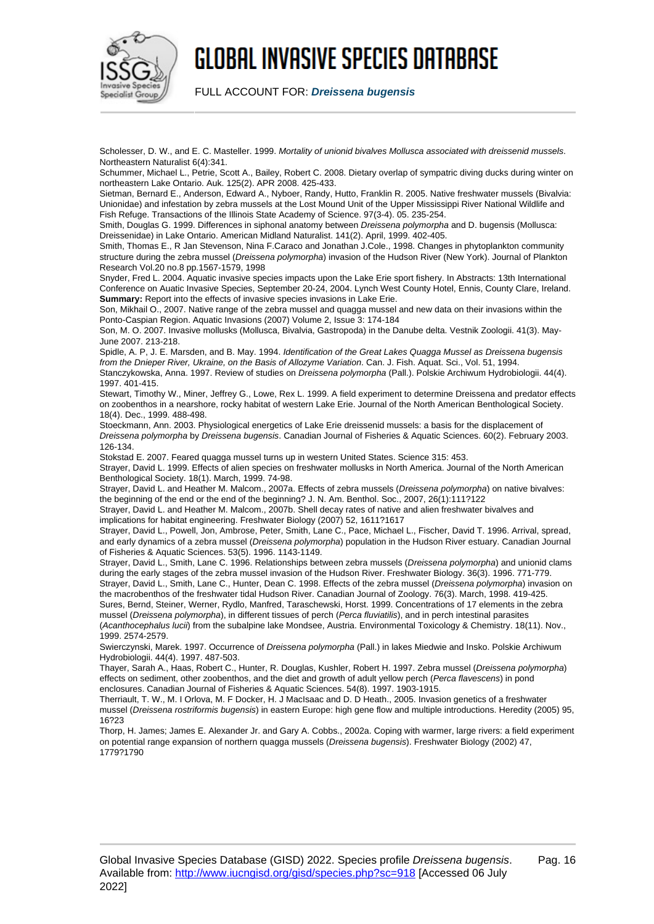

FULL ACCOUNT FOR: **Dreissena bugensis**

Scholesser, D. W., and E. C. Masteller. 1999. Mortality of unionid bivalves Mollusca associated with dreissenid mussels. Northeastern Naturalist 6(4):341.

Schummer, Michael L., Petrie, Scott A., Bailey, Robert C. 2008. Dietary overlap of sympatric diving ducks during winter on northeastern Lake Ontario. Auk. 125(2). APR 2008. 425-433.

Sietman, Bernard E., Anderson, Edward A., Nyboer, Randy, Hutto, Franklin R. 2005. Native freshwater mussels (Bivalvia: Unionidae) and infestation by zebra mussels at the Lost Mound Unit of the Upper Mississippi River National Wildlife and Fish Refuge. Transactions of the Illinois State Academy of Science. 97(3-4). 05. 235-254.

Smith, Douglas G. 1999. Differences in siphonal anatomy between Dreissena polymorpha and D. bugensis (Mollusca: Dreissenidae) in Lake Ontario. American Midland Naturalist. 141(2). April, 1999. 402-405.

Smith, Thomas E., R Jan Stevenson, Nina F.Caraco and Jonathan J.Cole., 1998. Changes in phytoplankton community structure during the zebra mussel (Dreissena polymorpha) invasion of the Hudson River (New York). Journal of Plankton Research Vol.20 no.8 pp.1567-1579, 1998

Snyder, Fred L. 2004. Aquatic invasive species impacts upon the Lake Erie sport fishery. In Abstracts: 13th International Conference on Auatic Invasive Species, September 20-24, 2004. Lynch West County Hotel, Ennis, County Clare, Ireland. **Summary:** Report into the effects of invasive species invasions in Lake Erie.

Son, Mikhail O., 2007. Native range of the zebra mussel and quagga mussel and new data on their invasions within the Ponto-Caspian Region. Aquatic Invasions (2007) Volume 2, Issue 3: 174-184

Son, M. O. 2007. Invasive mollusks (Mollusca, Bivalvia, Gastropoda) in the Danube delta. Vestnik Zoologii. 41(3). May-June 2007. 213-218.

Spidle, A. P. J. E. Marsden, and B. May. 1994. Identification of the Great Lakes Quagga Mussel as Dreissena bugensis from the Dnieper River, Ukraine, on the Basis of Allozyme Variation. Can. J. Fish. Aquat. Sci., Vol. 51, 1994.

Stanczykowska, Anna. 1997. Review of studies on *Dreissena polymorpha* (Pall.). Polskie Archiwum Hydrobiologii. 44(4). 1997. 401-415.

Stewart, Timothy W., Miner, Jeffrey G., Lowe, Rex L. 1999. A field experiment to determine Dreissena and predator effects on zoobenthos in a nearshore, rocky habitat of western Lake Erie. Journal of the North American Benthological Society. 18(4). Dec., 1999. 488-498.

Stoeckmann, Ann. 2003. Physiological energetics of Lake Erie dreissenid mussels: a basis for the displacement of Dreissena polymorpha by Dreissena bugensis. Canadian Journal of Fisheries & Aquatic Sciences. 60(2). February 2003. 126-134.

Stokstad E. 2007. Feared quagga mussel turns up in western United States. Science 315: 453. Strayer, David L. 1999. Effects of alien species on freshwater mollusks in North America. Journal of the North American Benthological Society. 18(1). March, 1999. 74-98.

Strayer, David L. and Heather M. Malcom., 2007a. Effects of zebra mussels (Dreissena polymorpha) on native bivalves: the beginning of the end or the end of the beginning? J. N. Am. Benthol. Soc., 2007, 26(1):111?122

Strayer, David L. and Heather M. Malcom., 2007b. Shell decay rates of native and alien freshwater bivalves and implications for habitat engineering. Freshwater Biology (2007) 52, 1611?1617

Strayer, David L., Powell, Jon, Ambrose, Peter, Smith, Lane C., Pace, Michael L., Fischer, David T. 1996. Arrival, spread, and early dynamics of a zebra mussel (Dreissena polymorpha) population in the Hudson River estuary. Canadian Journal of Fisheries & Aquatic Sciences. 53(5). 1996. 1143-1149.

Strayer, David L., Smith, Lane C. 1996. Relationships between zebra mussels (Dreissena polymorpha) and unionid clams during the early stages of the zebra mussel invasion of the Hudson River. Freshwater Biology. 36(3). 1996. 771-779. Strayer, David L., Smith, Lane C., Hunter, Dean C. 1998. Effects of the zebra mussel (Dreissena polymorpha) invasion on

the macrobenthos of the freshwater tidal Hudson River. Canadian Journal of Zoology. 76(3). March, 1998. 419-425. Sures, Bernd, Steiner, Werner, Rydlo, Manfred, Taraschewski, Horst. 1999. Concentrations of 17 elements in the zebra mussel (Dreissena polymorpha), in different tissues of perch (Perca fluviatilis), and in perch intestinal parasites (Acanthocephalus lucii) from the subalpine lake Mondsee, Austria. Environmental Toxicology & Chemistry. 18(11). Nov., 1999. 2574-2579.

Swierczynski, Marek. 1997. Occurrence of Dreissena polymorpha (Pall.) in lakes Miedwie and Insko. Polskie Archiwum Hydrobiologii. 44(4). 1997. 487-503.

Thayer, Sarah A., Haas, Robert C., Hunter, R. Douglas, Kushler, Robert H. 1997. Zebra mussel (Dreissena polymorpha) effects on sediment, other zoobenthos, and the diet and growth of adult yellow perch (Perca flavescens) in pond enclosures. Canadian Journal of Fisheries & Aquatic Sciences. 54(8). 1997. 1903-1915.

Therriault, T. W., M. I Orlova, M. F Docker, H. J MacIsaac and D. D Heath., 2005. Invasion genetics of a freshwater mussel (Dreissena rostriformis bugensis) in eastern Europe: high gene flow and multiple introductions. Heredity (2005) 95, 16?23

Thorp, H. James; James E. Alexander Jr. and Gary A. Cobbs., 2002a. Coping with warmer, large rivers: a field experiment on potential range expansion of northern quagga mussels (Dreissena bugensis). Freshwater Biology (2002) 47, 1779?1790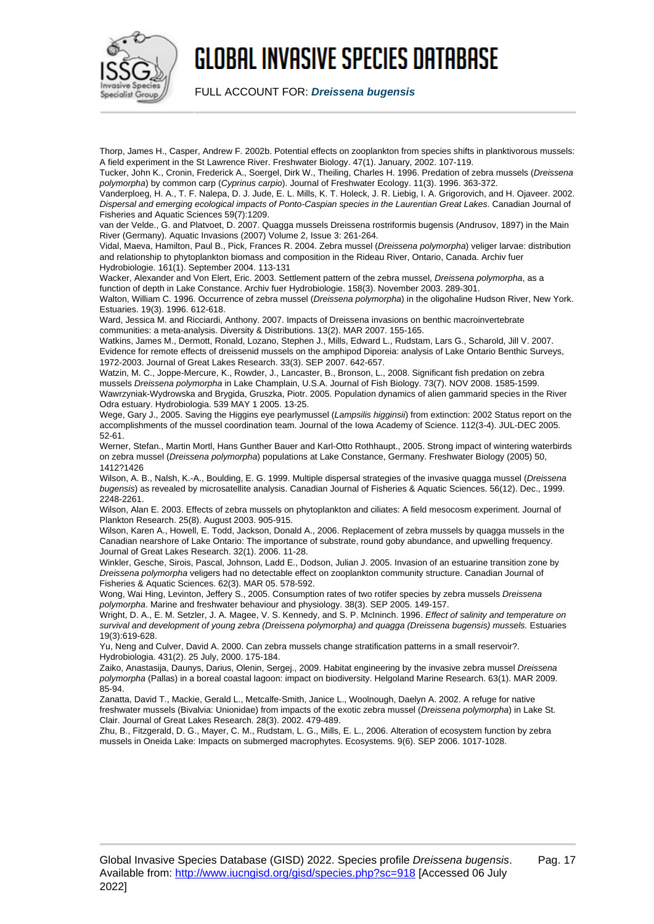

FULL ACCOUNT FOR: **Dreissena bugensis**

Thorp, James H., Casper, Andrew F. 2002b. Potential effects on zooplankton from species shifts in planktivorous mussels: A field experiment in the St Lawrence River. Freshwater Biology. 47(1). January, 2002. 107-119.

Tucker, John K., Cronin, Frederick A., Soergel, Dirk W., Theiling, Charles H. 1996. Predation of zebra mussels (Dreissena polymorpha) by common carp (Cyprinus carpio). Journal of Freshwater Ecology. 11(3). 1996. 363-372.

Vanderploeg, H. A., T. F. Nalepa, D. J. Jude, E. L. Mills, K. T. Holeck, J. R. Liebig, I. A. Grigorovich, and H. Ojaveer. 2002. Dispersal and emerging ecological impacts of Ponto-Caspian species in the Laurentian Great Lakes. Canadian Journal of Fisheries and Aquatic Sciences 59(7):1209.

van der Velde., G. and Platvoet, D. 2007. Quagga mussels Dreissena rostriformis bugensis (Andrusov, 1897) in the Main River (Germany). Aquatic Invasions (2007) Volume 2, Issue 3: 261-264.

Vidal, Maeva, Hamilton, Paul B., Pick, Frances R. 2004. Zebra mussel (Dreissena polymorpha) veliger larvae: distribution and relationship to phytoplankton biomass and composition in the Rideau River, Ontario, Canada. Archiv fuer Hydrobiologie. 161(1). September 2004. 113-131

Wacker, Alexander and Von Elert, Eric. 2003. Settlement pattern of the zebra mussel, Dreissena polymorpha, as a function of depth in Lake Constance. Archiv fuer Hydrobiologie. 158(3). November 2003. 289-301.

Walton, William C. 1996. Occurrence of zebra mussel (Dreissena polymorpha) in the oligohaline Hudson River, New York. Estuaries. 19(3). 1996. 612-618.

Ward, Jessica M. and Ricciardi, Anthony. 2007. Impacts of Dreissena invasions on benthic macroinvertebrate communities: a meta-analysis. Diversity & Distributions. 13(2). MAR 2007. 155-165.

Watkins, James M., Dermott, Ronald, Lozano, Stephen J., Mills, Edward L., Rudstam, Lars G., Scharold, Jill V. 2007. Evidence for remote effects of dreissenid mussels on the amphipod Diporeia: analysis of Lake Ontario Benthic Surveys, 1972-2003. Journal of Great Lakes Research. 33(3). SEP 2007. 642-657.

Watzin, M. C., Joppe-Mercure, K., Rowder, J., Lancaster, B., Bronson, L., 2008. Significant fish predation on zebra mussels Dreissena polymorpha in Lake Champlain, U.S.A. Journal of Fish Biology. 73(7). NOV 2008. 1585-1599. Wawrzyniak-Wydrowska and Brygida, Gruszka, Piotr. 2005. Population dynamics of alien gammarid species in the River Odra estuary. Hydrobiologia. 539 MAY 1 2005. 13-25.

Wege, Gary J., 2005. Saving the Higgins eye pearlymussel (Lampsilis higginsii) from extinction: 2002 Status report on the accomplishments of the mussel coordination team. Journal of the Iowa Academy of Science. 112(3-4). JUL-DEC 2005. 52-61.

Werner, Stefan., Martin Mortl, Hans Gunther Bauer and Karl-Otto Rothhaupt., 2005. Strong impact of wintering waterbirds on zebra mussel (Dreissena polymorpha) populations at Lake Constance, Germany. Freshwater Biology (2005) 50, 1412?1426

Wilson, A. B., Nalsh, K.-A., Boulding, E. G. 1999. Multiple dispersal strategies of the invasive quagga mussel (Dreissena bugensis) as revealed by microsatellite analysis. Canadian Journal of Fisheries & Aquatic Sciences. 56(12). Dec., 1999. 2248-2261.

Wilson, Alan E. 2003. Effects of zebra mussels on phytoplankton and ciliates: A field mesocosm experiment. Journal of Plankton Research. 25(8). August 2003. 905-915.

Wilson, Karen A., Howell, E. Todd, Jackson, Donald A., 2006. Replacement of zebra mussels by quagga mussels in the Canadian nearshore of Lake Ontario: The importance of substrate, round goby abundance, and upwelling frequency. Journal of Great Lakes Research. 32(1). 2006. 11-28.

Winkler, Gesche, Sirois, Pascal, Johnson, Ladd E., Dodson, Julian J. 2005. Invasion of an estuarine transition zone by Dreissena polymorpha veligers had no detectable effect on zooplankton community structure. Canadian Journal of Fisheries & Aquatic Sciences. 62(3). MAR 05. 578-592.

Wong, Wai Hing, Levinton, Jeffery S., 2005. Consumption rates of two rotifer species by zebra mussels Dreissena polymorpha. Marine and freshwater behaviour and physiology. 38(3). SEP 2005. 149-157.

Wright, D. A., E. M. Setzler, J. A. Magee, V. S. Kennedy, and S. P. McIninch. 1996. Effect of salinity and temperature on survival and development of young zebra (Dreissena polymorpha) and quagga (Dreissena bugensis) mussels. Estuaries 19(3):619-628.

Yu, Neng and Culver, David A. 2000. Can zebra mussels change stratification patterns in a small reservoir?. Hydrobiologia. 431(2). 25 July, 2000. 175-184.

Zaiko, Anastasija, Daunys, Darius, Olenin, Sergej., 2009. Habitat engineering by the invasive zebra mussel Dreissena polymorpha (Pallas) in a boreal coastal lagoon: impact on biodiversity. Helgoland Marine Research. 63(1). MAR 2009. 85-94.

Zanatta, David T., Mackie, Gerald L., Metcalfe-Smith, Janice L., Woolnough, Daelyn A. 2002. A refuge for native freshwater mussels (Bivalvia: Unionidae) from impacts of the exotic zebra mussel (Dreissena polymorpha) in Lake St. Clair. Journal of Great Lakes Research. 28(3). 2002. 479-489.

Zhu, B., Fitzgerald, D. G., Mayer, C. M., Rudstam, L. G., Mills, E. L., 2006. Alteration of ecosystem function by zebra mussels in Oneida Lake: Impacts on submerged macrophytes. Ecosystems. 9(6). SEP 2006. 1017-1028.